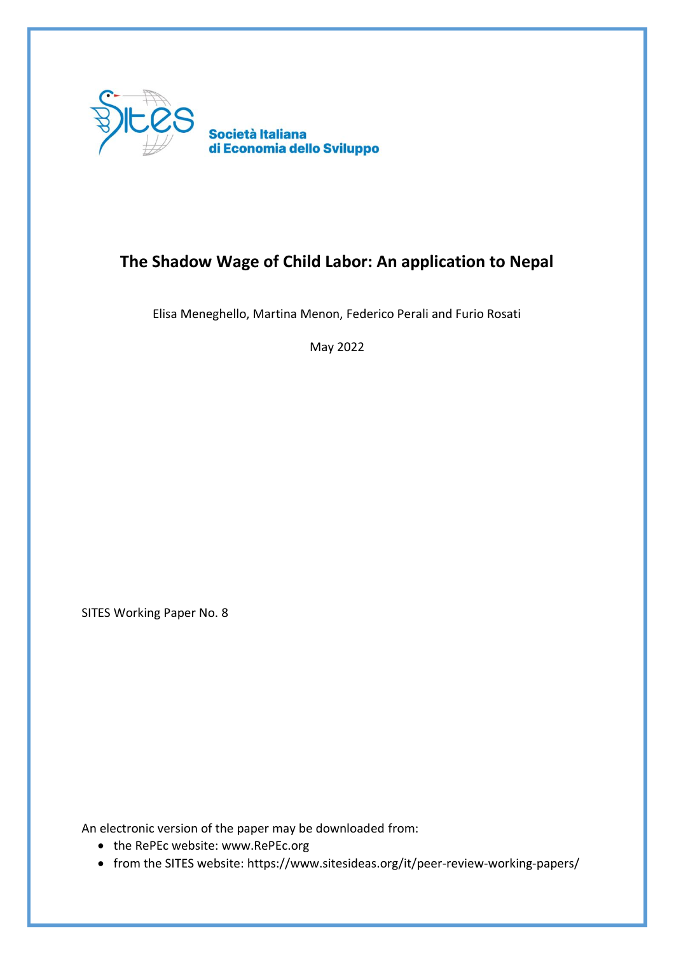

# **The Shadow Wage of Child Labor: An application to Nepal**

Elisa Meneghello, Martina Menon, Federico Perali and Furio Rosati

May 2022

SITES Working Paper No. 8

An electronic version of the paper may be downloaded from:

- the RePEc website: www.RePEc.org
- from the SITES website: https://www.sitesideas.org/it/peer-review-working-papers/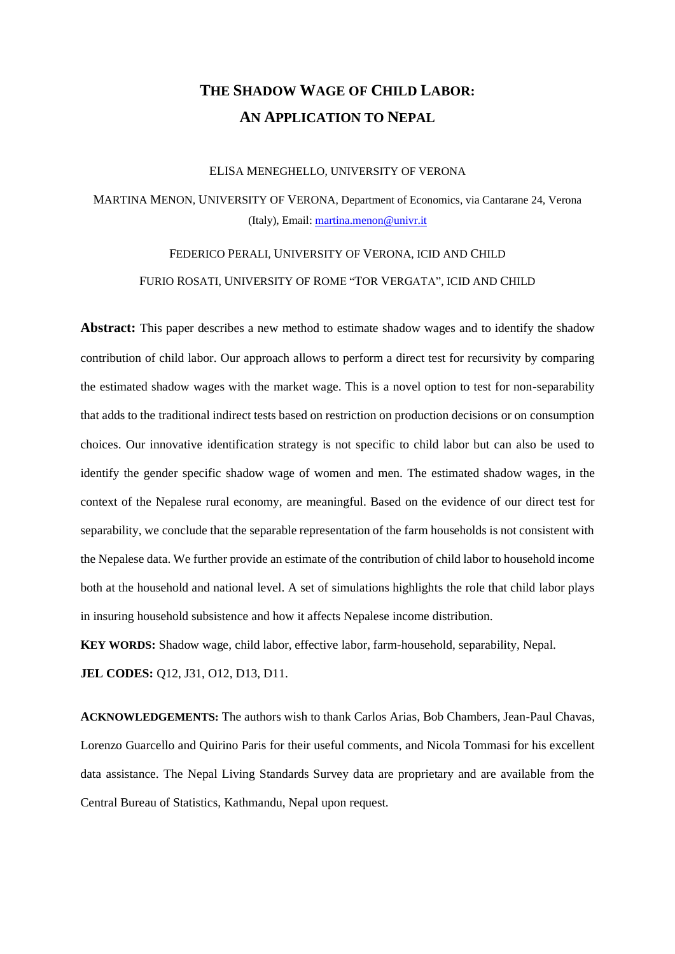# **THE SHADOW WAGE OF CHILD LABOR: AN APPLICATION TO NEPAL**

#### ELISA MENEGHELLO, UNIVERSITY OF VERONA

MARTINA MENON, UNIVERSITY OF VERONA, Department of Economics, via Cantarane 24, Verona (Italy), Email: [martina.menon@univr.it](mailto:martina.menon@univr.it)

## FEDERICO PERALI, UNIVERSITY OF VERONA, ICID AND CHILD FURIO ROSATI, UNIVERSITY OF ROME "TOR VERGATA", ICID AND CHILD

**Abstract:** This paper describes a new method to estimate shadow wages and to identify the shadow contribution of child labor. Our approach allows to perform a direct test for recursivity by comparing the estimated shadow wages with the market wage. This is a novel option to test for non-separability that adds to the traditional indirect tests based on restriction on production decisions or on consumption choices. Our innovative identification strategy is not specific to child labor but can also be used to identify the gender specific shadow wage of women and men. The estimated shadow wages, in the context of the Nepalese rural economy, are meaningful. Based on the evidence of our direct test for separability, we conclude that the separable representation of the farm households is not consistent with the Nepalese data. We further provide an estimate of the contribution of child labor to household income both at the household and national level. A set of simulations highlights the role that child labor plays in insuring household subsistence and how it affects Nepalese income distribution.

**KEY WORDS:** Shadow wage, child labor, effective labor, farm-household, separability, Nepal.

**JEL CODES:** Q12, J31, O12, D13, D11.

**ACKNOWLEDGEMENTS:** The authors wish to thank Carlos Arias, Bob Chambers, Jean-Paul Chavas, Lorenzo Guarcello and Quirino Paris for their useful comments, and Nicola Tommasi for his excellent data assistance. The Nepal Living Standards Survey data are proprietary and are available from the Central Bureau of Statistics, Kathmandu, Nepal upon request.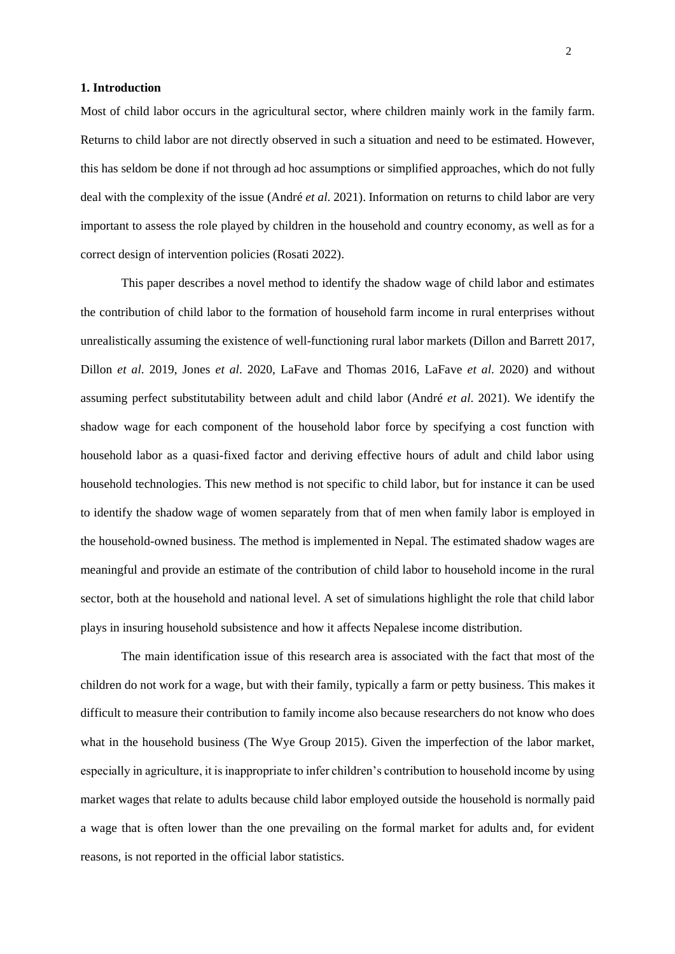## **1. Introduction**

Most of child labor occurs in the agricultural sector, where children mainly work in the family farm. Returns to child labor are not directly observed in such a situation and need to be estimated. However, this has seldom be done if not through ad hoc assumptions or simplified approaches, which do not fully deal with the complexity of the issue (André *et al*. 2021). Information on returns to child labor are very important to assess the role played by children in the household and country economy, as well as for a correct design of intervention policies (Rosati 2022).

This paper describes a novel method to identify the shadow wage of child labor and estimates the contribution of child labor to the formation of household farm income in rural enterprises without unrealistically assuming the existence of well-functioning rural labor markets (Dillon and Barrett 2017, Dillon *et al*. 2019, Jones *et al*. 2020, LaFave and Thomas 2016, LaFave *et al*. 2020) and without assuming perfect substitutability between adult and child labor (André *et al*. 2021). We identify the shadow wage for each component of the household labor force by specifying a cost function with household labor as a quasi-fixed factor and deriving effective hours of adult and child labor using household technologies. This new method is not specific to child labor, but for instance it can be used to identify the shadow wage of women separately from that of men when family labor is employed in the household-owned business. The method is implemented in Nepal. The estimated shadow wages are meaningful and provide an estimate of the contribution of child labor to household income in the rural sector, both at the household and national level. A set of simulations highlight the role that child labor plays in insuring household subsistence and how it affects Nepalese income distribution.

The main identification issue of this research area is associated with the fact that most of the children do not work for a wage, but with their family, typically a farm or petty business. This makes it difficult to measure their contribution to family income also because researchers do not know who does what in the household business (The Wye Group 2015). Given the imperfection of the labor market, especially in agriculture, it is inappropriate to infer children's contribution to household income by using market wages that relate to adults because child labor employed outside the household is normally paid a wage that is often lower than the one prevailing on the formal market for adults and, for evident reasons, is not reported in the official labor statistics.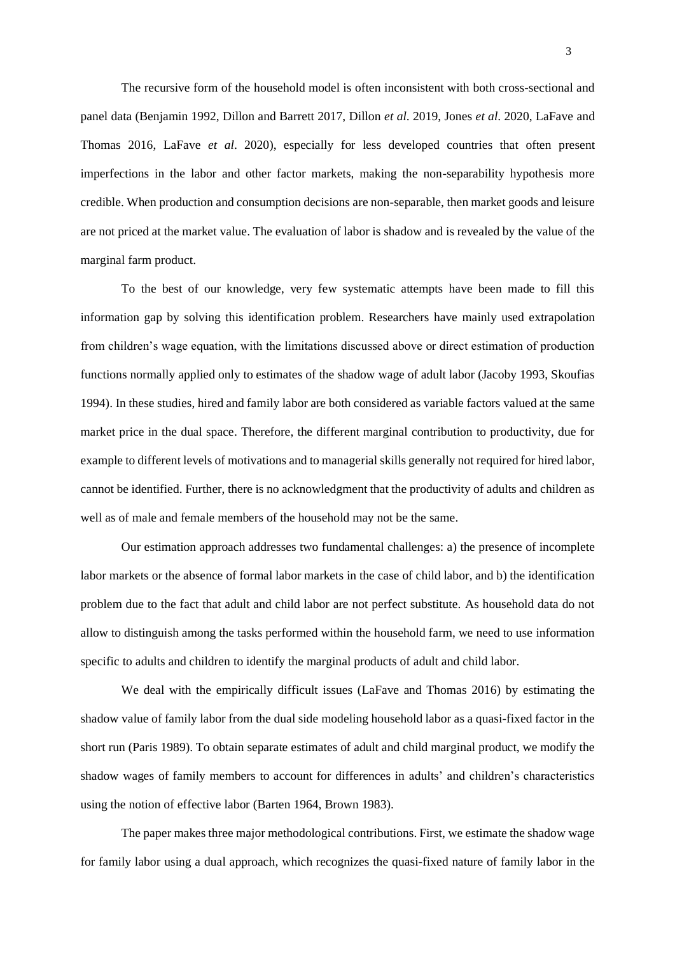The recursive form of the household model is often inconsistent with both cross-sectional and panel data (Benjamin 1992, Dillon and Barrett 2017, Dillon *et al*. 2019, Jones *et al*. 2020, LaFave and Thomas 2016, LaFave *et al*. 2020), especially for less developed countries that often present imperfections in the labor and other factor markets, making the non-separability hypothesis more credible. When production and consumption decisions are non-separable, then market goods and leisure are not priced at the market value. The evaluation of labor is shadow and is revealed by the value of the marginal farm product.

To the best of our knowledge, very few systematic attempts have been made to fill this information gap by solving this identification problem. Researchers have mainly used extrapolation from children's wage equation, with the limitations discussed above or direct estimation of production functions normally applied only to estimates of the shadow wage of adult labor (Jacoby 1993, Skoufias 1994). In these studies, hired and family labor are both considered as variable factors valued at the same market price in the dual space. Therefore, the different marginal contribution to productivity, due for example to different levels of motivations and to managerial skills generally not required for hired labor, cannot be identified. Further, there is no acknowledgment that the productivity of adults and children as well as of male and female members of the household may not be the same.

Our estimation approach addresses two fundamental challenges: a) the presence of incomplete labor markets or the absence of formal labor markets in the case of child labor, and b) the identification problem due to the fact that adult and child labor are not perfect substitute. As household data do not allow to distinguish among the tasks performed within the household farm, we need to use information specific to adults and children to identify the marginal products of adult and child labor.

We deal with the empirically difficult issues (LaFave and Thomas 2016) by estimating the shadow value of family labor from the dual side modeling household labor as a quasi-fixed factor in the short run (Paris 1989). To obtain separate estimates of adult and child marginal product, we modify the shadow wages of family members to account for differences in adults' and children's characteristics using the notion of effective labor (Barten 1964, Brown 1983).

The paper makes three major methodological contributions. First, we estimate the shadow wage for family labor using a dual approach, which recognizes the quasi-fixed nature of family labor in the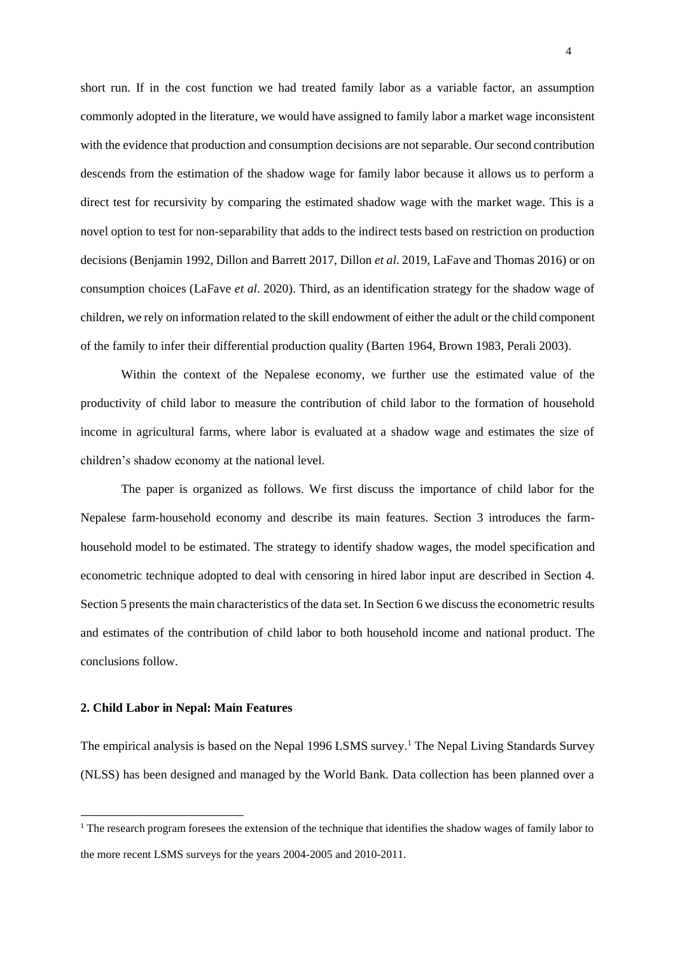short run. If in the cost function we had treated family labor as a variable factor, an assumption commonly adopted in the literature, we would have assigned to family labor a market wage inconsistent with the evidence that production and consumption decisions are not separable. Our second contribution descends from the estimation of the shadow wage for family labor because it allows us to perform a direct test for recursivity by comparing the estimated shadow wage with the market wage. This is a novel option to test for non-separability that adds to the indirect tests based on restriction on production decisions (Benjamin 1992, Dillon and Barrett 2017, Dillon *et al*. 2019, LaFave and Thomas 2016) or on consumption choices (LaFave *et al*. 2020). Third, as an identification strategy for the shadow wage of children, we rely on information related to the skill endowment of either the adult or the child component of the family to infer their differential production quality (Barten 1964, Brown 1983, Perali 2003).

Within the context of the Nepalese economy, we further use the estimated value of the productivity of child labor to measure the contribution of child labor to the formation of household income in agricultural farms, where labor is evaluated at a shadow wage and estimates the size of children's shadow economy at the national level.

The paper is organized as follows. We first discuss the importance of child labor for the Nepalese farm-household economy and describe its main features. Section 3 introduces the farmhousehold model to be estimated. The strategy to identify shadow wages, the model specification and econometric technique adopted to deal with censoring in hired labor input are described in Section 4. Section 5 presents the main characteristics of the data set. In Section 6 we discuss the econometric results and estimates of the contribution of child labor to both household income and national product. The conclusions follow.

#### **2. Child Labor in Nepal: Main Features**

The empirical analysis is based on the Nepal 1996 LSMS survey.<sup>1</sup> The Nepal Living Standards Survey (NLSS) has been designed and managed by the World Bank. Data collection has been planned over a

 $1$  The research program foresees the extension of the technique that identifies the shadow wages of family labor to the more recent LSMS surveys for the years 2004-2005 and 2010-2011.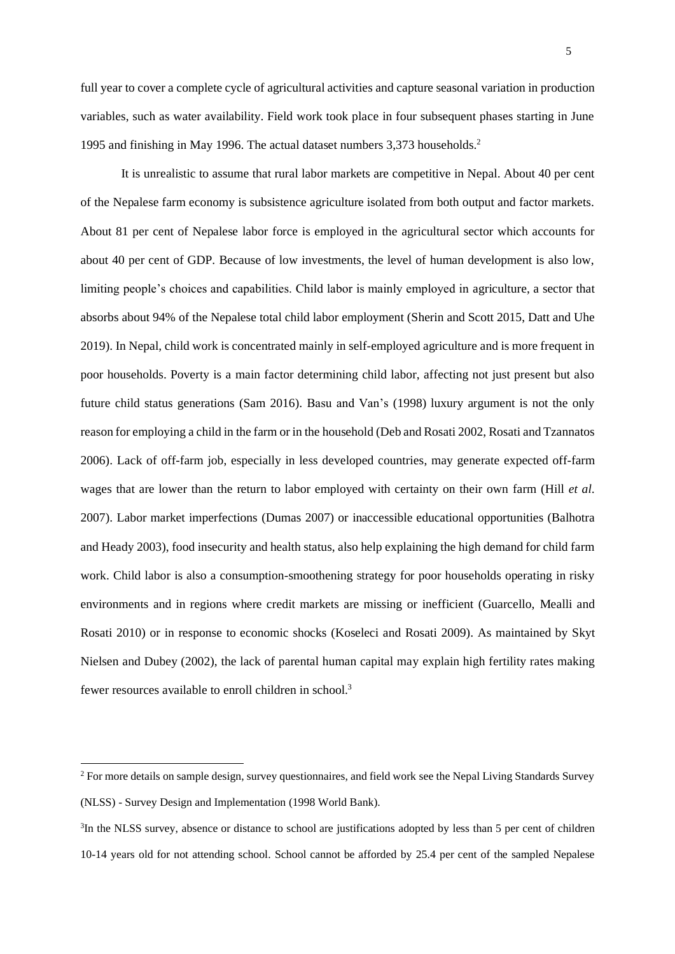full year to cover a complete cycle of agricultural activities and capture seasonal variation in production variables, such as water availability. Field work took place in four subsequent phases starting in June 1995 and finishing in May 1996. The actual dataset numbers 3,373 households.<sup>2</sup>

It is unrealistic to assume that rural labor markets are competitive in Nepal. About 40 per cent of the Nepalese farm economy is subsistence agriculture isolated from both output and factor markets. About 81 per cent of Nepalese labor force is employed in the agricultural sector which accounts for about 40 per cent of GDP. Because of low investments, the level of human development is also low, limiting people's choices and capabilities. Child labor is mainly employed in agriculture, a sector that absorbs about 94% of the Nepalese total child labor employment (Sherin and Scott 2015, Datt and Uhe 2019). In Nepal, child work is concentrated mainly in self-employed agriculture and is more frequent in poor households. Poverty is a main factor determining child labor, affecting not just present but also future child status generations (Sam 2016). Basu and Van's (1998) luxury argument is not the only reason for employing a child in the farm or in the household (Deb and Rosati 2002, Rosati and Tzannatos 2006). Lack of off-farm job, especially in less developed countries, may generate expected off-farm wages that are lower than the return to labor employed with certainty on their own farm (Hill *et al*. 2007). Labor market imperfections (Dumas 2007) or inaccessible educational opportunities (Balhotra and Heady 2003), food insecurity and health status, also help explaining the high demand for child farm work. Child labor is also a consumption-smoothening strategy for poor households operating in risky environments and in regions where credit markets are missing or inefficient (Guarcello, Mealli and Rosati 2010) or in response to economic shocks (Koseleci and Rosati 2009). As maintained by Skyt Nielsen and Dubey (2002), the lack of parental human capital may explain high fertility rates making fewer resources available to enroll children in school.<sup>3</sup>

<sup>&</sup>lt;sup>2</sup> For more details on sample design, survey questionnaires, and field work see the Nepal Living Standards Survey (NLSS) - Survey Design and Implementation (1998 World Bank).

<sup>&</sup>lt;sup>3</sup>In the NLSS survey, absence or distance to school are justifications adopted by less than 5 per cent of children 10-14 years old for not attending school. School cannot be afforded by 25.4 per cent of the sampled Nepalese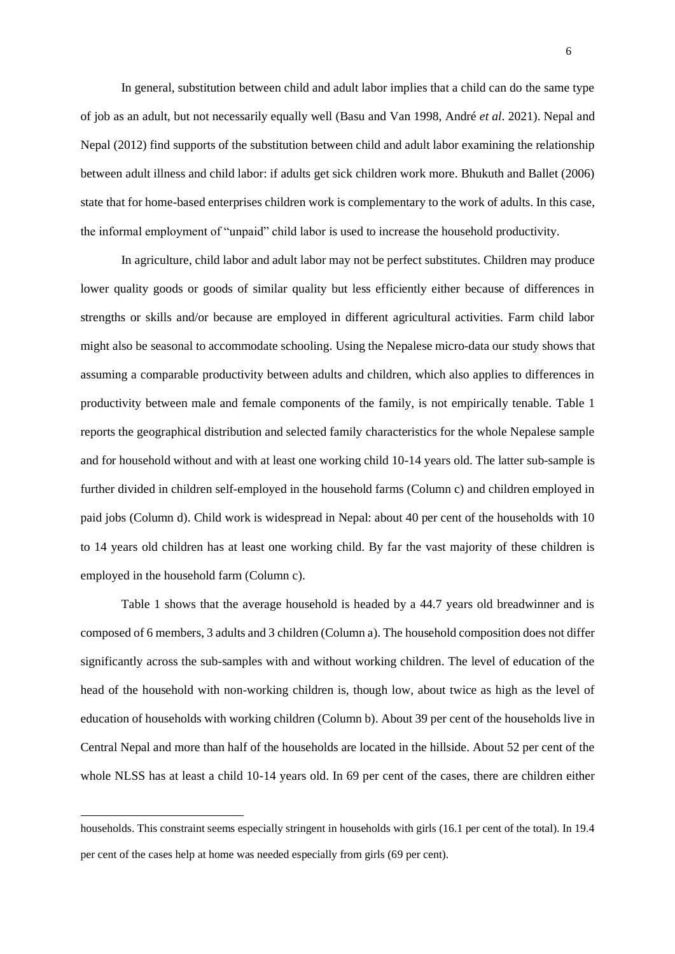In general, substitution between child and adult labor implies that a child can do the same type of job as an adult, but not necessarily equally well (Basu and Van 1998, André *et al*. 2021). Nepal and Nepal (2012) find supports of the substitution between child and adult labor examining the relationship between adult illness and child labor: if adults get sick children work more. Bhukuth and Ballet (2006) state that for home-based enterprises children work is complementary to the work of adults. In this case, the informal employment of "unpaid" child labor is used to increase the household productivity.

In agriculture, child labor and adult labor may not be perfect substitutes. Children may produce lower quality goods or goods of similar quality but less efficiently either because of differences in strengths or skills and/or because are employed in different agricultural activities. Farm child labor might also be seasonal to accommodate schooling. Using the Nepalese micro-data our study shows that assuming a comparable productivity between adults and children, which also applies to differences in productivity between male and female components of the family, is not empirically tenable. Table 1 reports the geographical distribution and selected family characteristics for the whole Nepalese sample and for household without and with at least one working child 10-14 years old. The latter sub-sample is further divided in children self-employed in the household farms (Column c) and children employed in paid jobs (Column d). Child work is widespread in Nepal: about 40 per cent of the households with 10 to 14 years old children has at least one working child. By far the vast majority of these children is employed in the household farm (Column c).

Table 1 shows that the average household is headed by a 44.7 years old breadwinner and is composed of 6 members, 3 adults and 3 children (Column a). The household composition does not differ significantly across the sub-samples with and without working children. The level of education of the head of the household with non-working children is, though low, about twice as high as the level of education of households with working children (Column b). About 39 per cent of the households live in Central Nepal and more than half of the households are located in the hillside. About 52 per cent of the whole NLSS has at least a child 10-14 years old. In 69 per cent of the cases, there are children either

households. This constraint seems especially stringent in households with girls (16.1 per cent of the total). In 19.4 per cent of the cases help at home was needed especially from girls (69 per cent).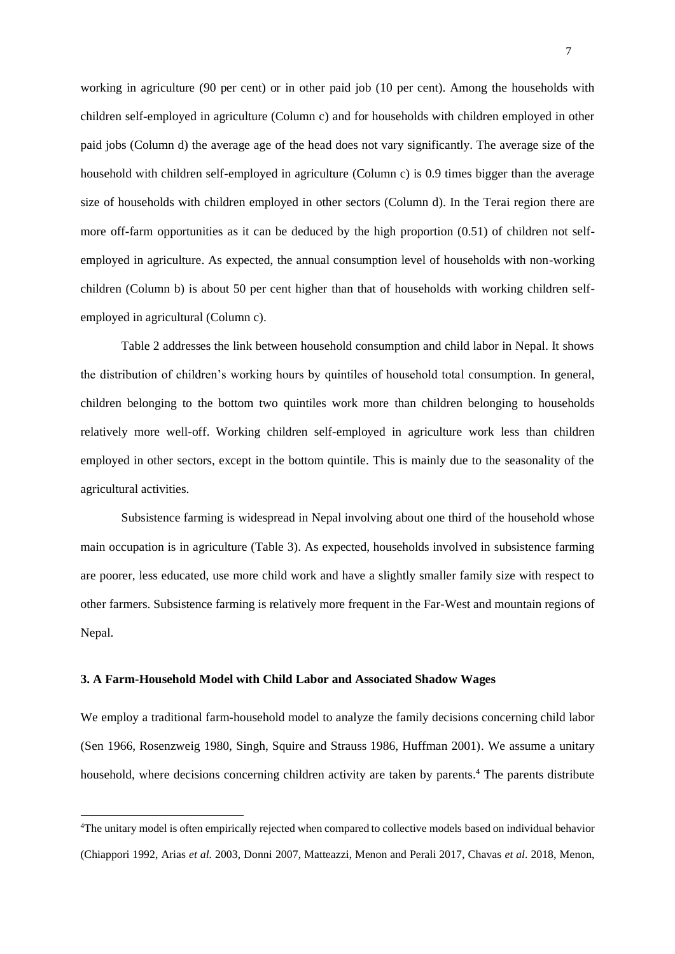working in agriculture (90 per cent) or in other paid job (10 per cent). Among the households with children self-employed in agriculture (Column c) and for households with children employed in other paid jobs (Column d) the average age of the head does not vary significantly. The average size of the household with children self-employed in agriculture (Column c) is 0.9 times bigger than the average size of households with children employed in other sectors (Column d). In the Terai region there are more off-farm opportunities as it can be deduced by the high proportion (0.51) of children not selfemployed in agriculture. As expected, the annual consumption level of households with non-working children (Column b) is about 50 per cent higher than that of households with working children selfemployed in agricultural (Column c).

Table 2 addresses the link between household consumption and child labor in Nepal. It shows the distribution of children's working hours by quintiles of household total consumption. In general, children belonging to the bottom two quintiles work more than children belonging to households relatively more well-off. Working children self-employed in agriculture work less than children employed in other sectors, except in the bottom quintile. This is mainly due to the seasonality of the agricultural activities.

Subsistence farming is widespread in Nepal involving about one third of the household whose main occupation is in agriculture (Table 3). As expected, households involved in subsistence farming are poorer, less educated, use more child work and have a slightly smaller family size with respect to other farmers. Subsistence farming is relatively more frequent in the Far-West and mountain regions of Nepal.

### **3. A Farm-Household Model with Child Labor and Associated Shadow Wages**

We employ a traditional farm-household model to analyze the family decisions concerning child labor (Sen 1966, Rosenzweig 1980, Singh, Squire and Strauss 1986, Huffman 2001). We assume a unitary household, where decisions concerning children activity are taken by parents.<sup>4</sup> The parents distribute

<sup>4</sup>The unitary model is often empirically rejected when compared to collective models based on individual behavior (Chiappori 1992, Arias *et al.* 2003, Donni 2007, Matteazzi, Menon and Perali 2017, Chavas *et al*. 2018, Menon,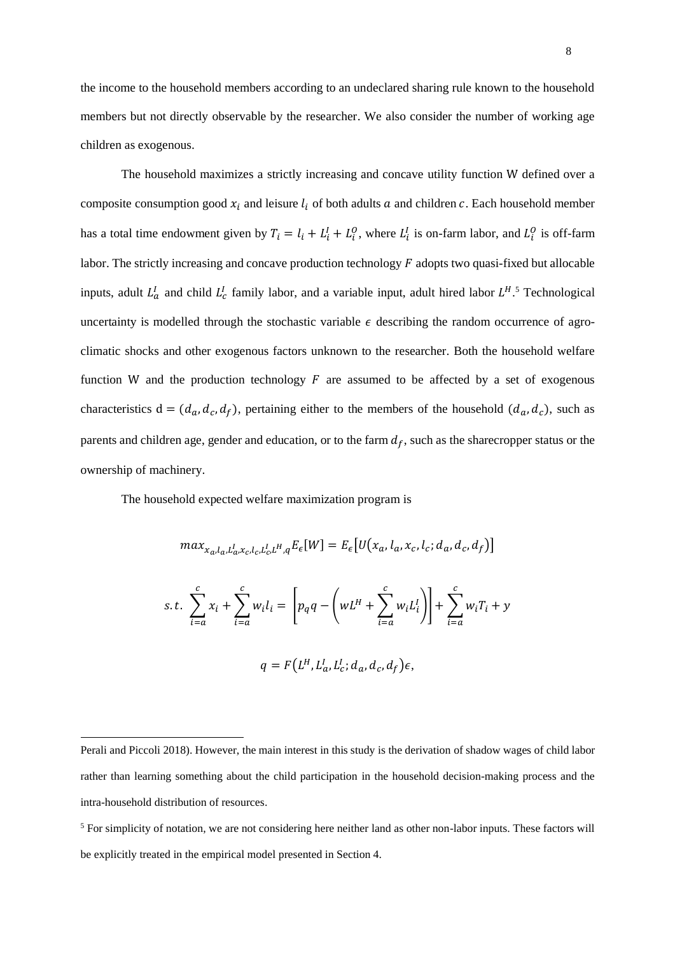the income to the household members according to an undeclared sharing rule known to the household members but not directly observable by the researcher. We also consider the number of working age children as exogenous.

The household maximizes a strictly increasing and concave utility function W defined over a composite consumption good  $x_i$  and leisure  $l_i$  of both adults  $a$  and children  $c$ . Each household member has a total time endowment given by  $T_i = l_i + L_i^I + L_i^O$ , where  $L_i^I$  is on-farm labor, and  $L_i^O$  is off-farm labor. The strictly increasing and concave production technology  $F$  adopts two quasi-fixed but allocable inputs, adult  $L_a^I$  and child  $L_c^I$  family labor, and a variable input, adult hired labor  $L^{H.5}$  Technological uncertainty is modelled through the stochastic variable  $\epsilon$  describing the random occurrence of agroclimatic shocks and other exogenous factors unknown to the researcher. Both the household welfare function W and the production technology  $F$  are assumed to be affected by a set of exogenous characteristics  $d = (d_a, d_c, d_f)$ , pertaining either to the members of the household  $(d_a, d_c)$ , such as parents and children age, gender and education, or to the farm  $d_f$ , such as the sharecropper status or the ownership of machinery.

The household expected welfare maximization program is

 $i=a$ 

$$
max_{x_a, l_a, L_a^l, x_c, l_c, L_a^l, H_q} E_{\epsilon}[W] = E_{\epsilon}[U(x_a, l_a, x_c, l_c; d_a, d_c, d_f)]
$$
  
s.t. 
$$
\sum_{i=a}^{c} x_i + \sum_{i=a}^{c} w_i l_i = \left[ p_q q - \left( wL^H + \sum_{i=a}^{c} w_i L_i^l \right) \right] + \sum_{i=a}^{c} w_i T_i + y_i
$$

$$
q = F(L^H, L^I_a, L^I_c; d_a, d_c, d_f)\epsilon,
$$

Perali and Piccoli 2018). However, the main interest in this study is the derivation of shadow wages of child labor rather than learning something about the child participation in the household decision-making process and the intra-household distribution of resources.

<sup>5</sup> For simplicity of notation, we are not considering here neither land as other non-labor inputs. These factors will be explicitly treated in the empirical model presented in Section 4.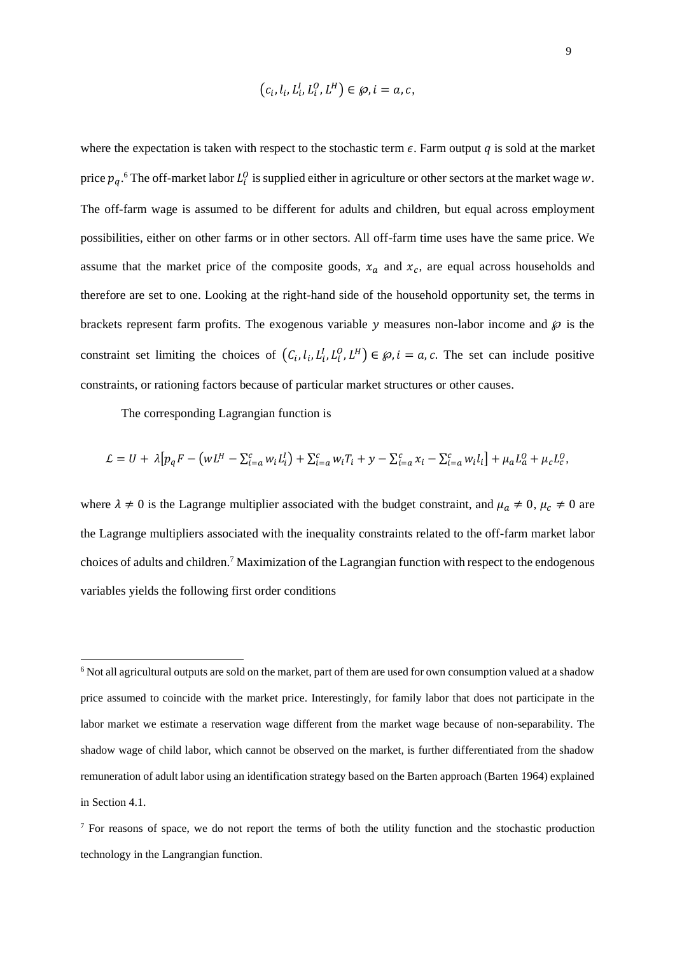$$
(c_i, l_i, L_i^I, L_i^O, L^H) \in \wp, i = a, c,
$$

where the expectation is taken with respect to the stochastic term  $\epsilon$ . Farm output q is sold at the market price  $p_q$ .<sup>6</sup> The off-market labor  $L_i^0$  is supplied either in agriculture or other sectors at the market wage w. The off-farm wage is assumed to be different for adults and children, but equal across employment possibilities, either on other farms or in other sectors. All off-farm time uses have the same price. We assume that the market price of the composite goods,  $x_a$  and  $x_c$ , are equal across households and therefore are set to one. Looking at the right-hand side of the household opportunity set, the terms in brackets represent farm profits. The exogenous variable y measures non-labor income and  $\wp$  is the constraint set limiting the choices of  $(C_i, l_i, L_i^I, L_i^O, L^H) \in \mathcal{P}, i = a, c$ . The set can include positive constraints, or rationing factors because of particular market structures or other causes.

The corresponding Lagrangian function is

$$
\mathcal{L} = U + \lambda \left[ p_q F - \left( w L^H - \sum_{i=a}^c w_i L_i^I \right) + \sum_{i=a}^c w_i T_i + y - \sum_{i=a}^c x_i - \sum_{i=a}^c w_i L_i^I \right] + \mu_a L_a^0 + \mu_c L_c^0,
$$

where  $\lambda \neq 0$  is the Lagrange multiplier associated with the budget constraint, and  $\mu_a \neq 0$ ,  $\mu_c \neq 0$  are the Lagrange multipliers associated with the inequality constraints related to the off-farm market labor choices of adults and children.<sup>7</sup> Maximization of the Lagrangian function with respect to the endogenous variables yields the following first order conditions

<sup>&</sup>lt;sup>6</sup> Not all agricultural outputs are sold on the market, part of them are used for own consumption valued at a shadow price assumed to coincide with the market price. Interestingly, for family labor that does not participate in the labor market we estimate a reservation wage different from the market wage because of non-separability. The shadow wage of child labor, which cannot be observed on the market, is further differentiated from the shadow remuneration of adult labor using an identification strategy based on the Barten approach (Barten 1964) explained in Section 4.1.

<sup>&</sup>lt;sup>7</sup> For reasons of space, we do not report the terms of both the utility function and the stochastic production technology in the Langrangian function.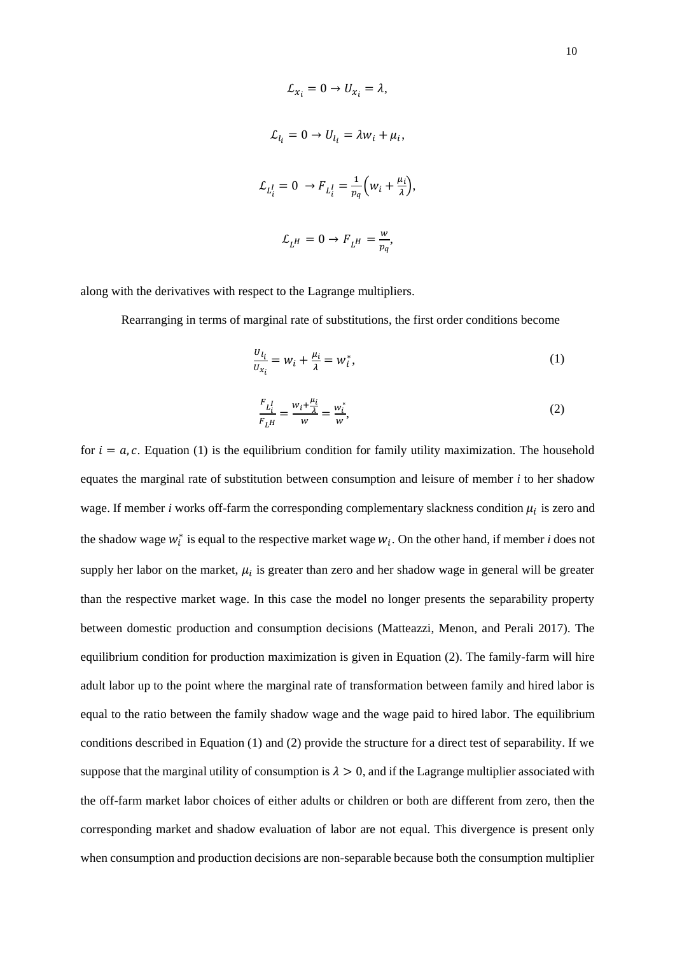$$
\mathcal{L}_{x_i} = 0 \to U_{x_i} = \lambda,
$$
  

$$
\mathcal{L}_{l_i} = 0 \to U_{l_i} = \lambda w_i + \mu_i,
$$
  

$$
\mathcal{L}_{L_i^l} = 0 \to F_{L_i^l} = \frac{1}{p_q} \left( w_i + \frac{\mu_i}{\lambda} \right),
$$
  

$$
\mathcal{L}_{L^H} = 0 \to F_{L^H} = \frac{w}{p_q},
$$

along with the derivatives with respect to the Lagrange multipliers.

Rearranging in terms of marginal rate of substitutions, the first order conditions become

$$
\frac{U_{l_i}}{U_{x_i}} = W_i + \frac{\mu_i}{\lambda} = W_i^*,\tag{1}
$$

$$
\frac{F_{L_i^I}}{F_{L^H}} = \frac{w_i + \frac{\mu_i}{\lambda}}{w} = \frac{w_i^*}{w},\tag{2}
$$

for  $i = a$ ,  $c$ . Equation (1) is the equilibrium condition for family utility maximization. The household equates the marginal rate of substitution between consumption and leisure of member *i* to her shadow wage. If member  $i$  works off-farm the corresponding complementary slackness condition  $\mu_i$  is zero and the shadow wage  $w_i^*$  is equal to the respective market wage  $w_i$ . On the other hand, if member *i* does not supply her labor on the market,  $\mu_i$  is greater than zero and her shadow wage in general will be greater than the respective market wage. In this case the model no longer presents the separability property between domestic production and consumption decisions (Matteazzi, Menon, and Perali 2017). The equilibrium condition for production maximization is given in Equation (2). The family-farm will hire adult labor up to the point where the marginal rate of transformation between family and hired labor is equal to the ratio between the family shadow wage and the wage paid to hired labor. The equilibrium conditions described in Equation (1) and (2) provide the structure for a direct test of separability. If we suppose that the marginal utility of consumption is  $\lambda > 0$ , and if the Lagrange multiplier associated with the off-farm market labor choices of either adults or children or both are different from zero, then the corresponding market and shadow evaluation of labor are not equal. This divergence is present only when consumption and production decisions are non-separable because both the consumption multiplier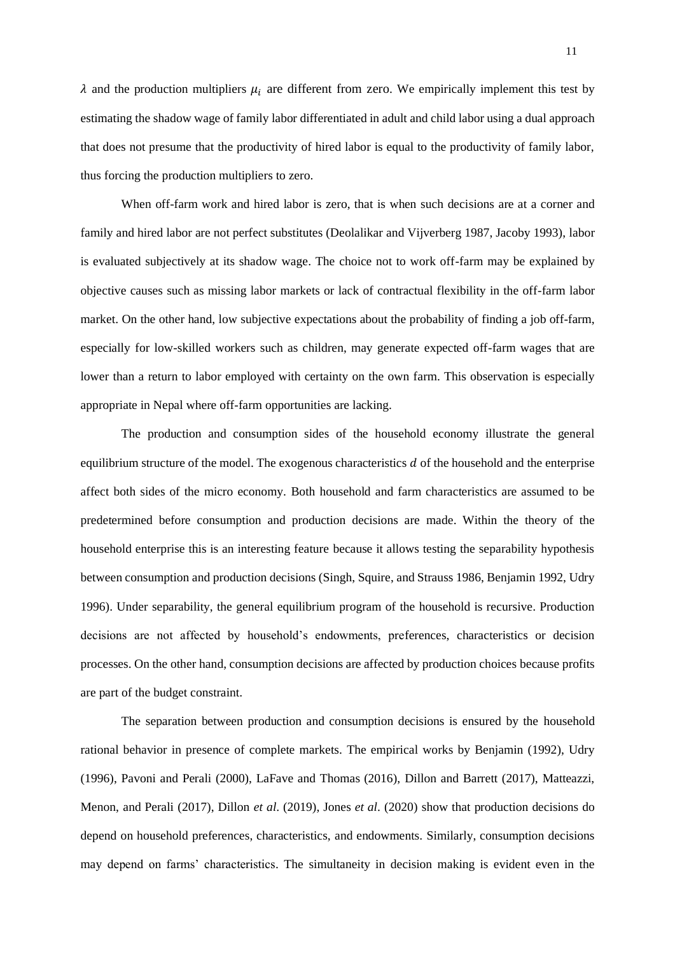$\lambda$  and the production multipliers  $\mu_i$  are different from zero. We empirically implement this test by estimating the shadow wage of family labor differentiated in adult and child labor using a dual approach that does not presume that the productivity of hired labor is equal to the productivity of family labor, thus forcing the production multipliers to zero.

When off-farm work and hired labor is zero, that is when such decisions are at a corner and family and hired labor are not perfect substitutes (Deolalikar and Vijverberg 1987, Jacoby 1993), labor is evaluated subjectively at its shadow wage. The choice not to work off-farm may be explained by objective causes such as missing labor markets or lack of contractual flexibility in the off-farm labor market. On the other hand, low subjective expectations about the probability of finding a job off-farm, especially for low-skilled workers such as children, may generate expected off-farm wages that are lower than a return to labor employed with certainty on the own farm. This observation is especially appropriate in Nepal where off-farm opportunities are lacking.

The production and consumption sides of the household economy illustrate the general equilibrium structure of the model. The exogenous characteristics  $d$  of the household and the enterprise affect both sides of the micro economy. Both household and farm characteristics are assumed to be predetermined before consumption and production decisions are made. Within the theory of the household enterprise this is an interesting feature because it allows testing the separability hypothesis between consumption and production decisions (Singh, Squire, and Strauss 1986, Benjamin 1992, Udry 1996). Under separability, the general equilibrium program of the household is recursive. Production decisions are not affected by household's endowments, preferences, characteristics or decision processes. On the other hand, consumption decisions are affected by production choices because profits are part of the budget constraint.

The separation between production and consumption decisions is ensured by the household rational behavior in presence of complete markets. The empirical works by Benjamin (1992), Udry (1996), Pavoni and Perali (2000), LaFave and Thomas (2016), Dillon and Barrett (2017), Matteazzi, Menon, and Perali (2017), Dillon *et al*. (2019), Jones *et al*. (2020) show that production decisions do depend on household preferences, characteristics, and endowments. Similarly, consumption decisions may depend on farms' characteristics. The simultaneity in decision making is evident even in the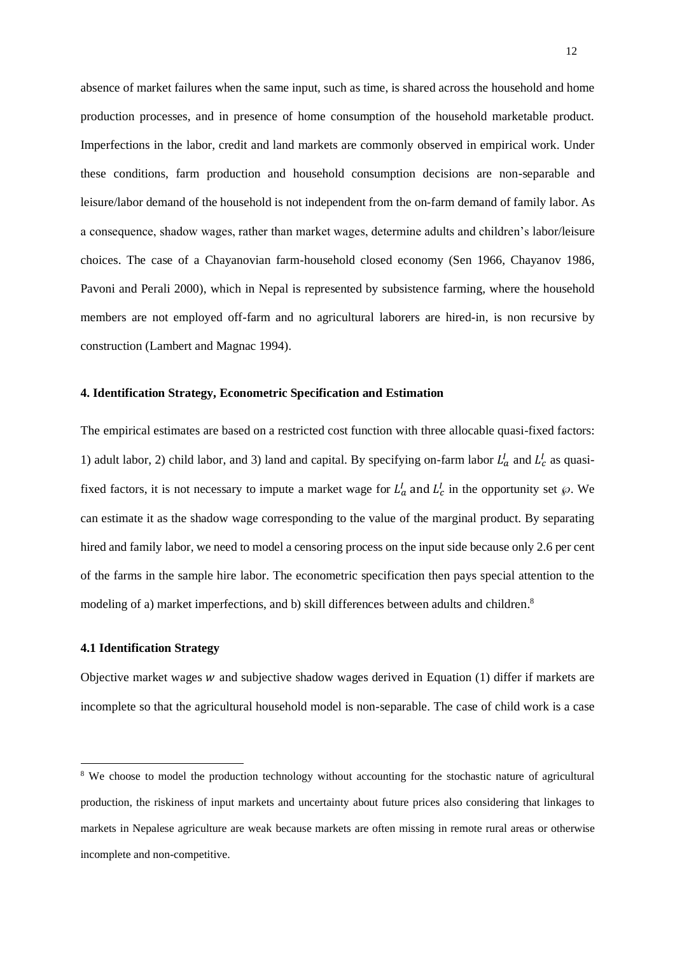absence of market failures when the same input, such as time, is shared across the household and home production processes, and in presence of home consumption of the household marketable product. Imperfections in the labor, credit and land markets are commonly observed in empirical work. Under these conditions, farm production and household consumption decisions are non-separable and leisure/labor demand of the household is not independent from the on-farm demand of family labor. As a consequence, shadow wages, rather than market wages, determine adults and children's labor/leisure choices. The case of a Chayanovian farm-household closed economy (Sen 1966, Chayanov 1986, Pavoni and Perali 2000), which in Nepal is represented by subsistence farming, where the household members are not employed off-farm and no agricultural laborers are hired-in, is non recursive by construction (Lambert and Magnac 1994).

## **4. Identification Strategy, Econometric Specification and Estimation**

The empirical estimates are based on a restricted cost function with three allocable quasi-fixed factors: 1) adult labor, 2) child labor, and 3) land and capital. By specifying on-farm labor  $L_a^I$  and  $L_c^I$  as quasifixed factors, it is not necessary to impute a market wage for  $L_a^I$  and  $L_c^I$  in the opportunity set  $\wp$ . We can estimate it as the shadow wage corresponding to the value of the marginal product. By separating hired and family labor, we need to model a censoring process on the input side because only 2.6 per cent of the farms in the sample hire labor. The econometric specification then pays special attention to the modeling of a) market imperfections, and b) skill differences between adults and children.<sup>8</sup>

#### **4.1 Identification Strategy**

Objective market wages  $w$  and subjective shadow wages derived in Equation (1) differ if markets are incomplete so that the agricultural household model is non-separable. The case of child work is a case

<sup>&</sup>lt;sup>8</sup> We choose to model the production technology without accounting for the stochastic nature of agricultural production, the riskiness of input markets and uncertainty about future prices also considering that linkages to markets in Nepalese agriculture are weak because markets are often missing in remote rural areas or otherwise incomplete and non-competitive.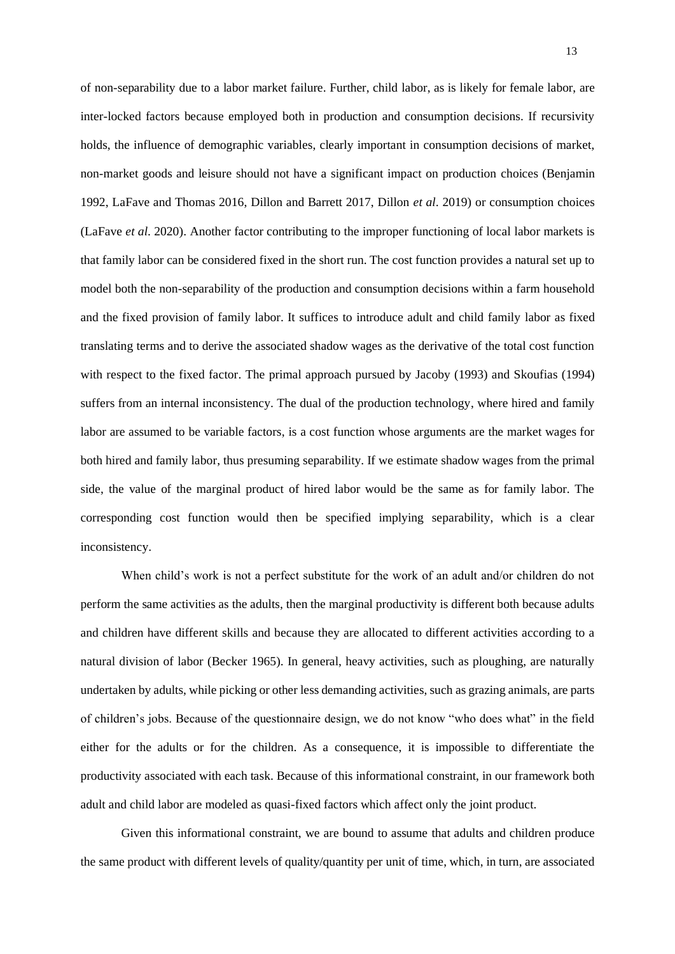of non-separability due to a labor market failure. Further, child labor, as is likely for female labor, are inter-locked factors because employed both in production and consumption decisions. If recursivity holds, the influence of demographic variables, clearly important in consumption decisions of market, non-market goods and leisure should not have a significant impact on production choices (Benjamin 1992, LaFave and Thomas 2016, Dillon and Barrett 2017, Dillon *et al*. 2019) or consumption choices (LaFave *et al*. 2020). Another factor contributing to the improper functioning of local labor markets is that family labor can be considered fixed in the short run. The cost function provides a natural set up to model both the non-separability of the production and consumption decisions within a farm household and the fixed provision of family labor. It suffices to introduce adult and child family labor as fixed translating terms and to derive the associated shadow wages as the derivative of the total cost function with respect to the fixed factor. The primal approach pursued by Jacoby (1993) and Skoufias (1994) suffers from an internal inconsistency. The dual of the production technology, where hired and family labor are assumed to be variable factors, is a cost function whose arguments are the market wages for both hired and family labor, thus presuming separability. If we estimate shadow wages from the primal side, the value of the marginal product of hired labor would be the same as for family labor. The corresponding cost function would then be specified implying separability, which is a clear inconsistency.

When child's work is not a perfect substitute for the work of an adult and/or children do not perform the same activities as the adults, then the marginal productivity is different both because adults and children have different skills and because they are allocated to different activities according to a natural division of labor (Becker 1965). In general, heavy activities, such as ploughing, are naturally undertaken by adults, while picking or other less demanding activities, such as grazing animals, are parts of children's jobs. Because of the questionnaire design, we do not know "who does what" in the field either for the adults or for the children. As a consequence, it is impossible to differentiate the productivity associated with each task. Because of this informational constraint, in our framework both adult and child labor are modeled as quasi-fixed factors which affect only the joint product.

Given this informational constraint, we are bound to assume that adults and children produce the same product with different levels of quality/quantity per unit of time, which, in turn, are associated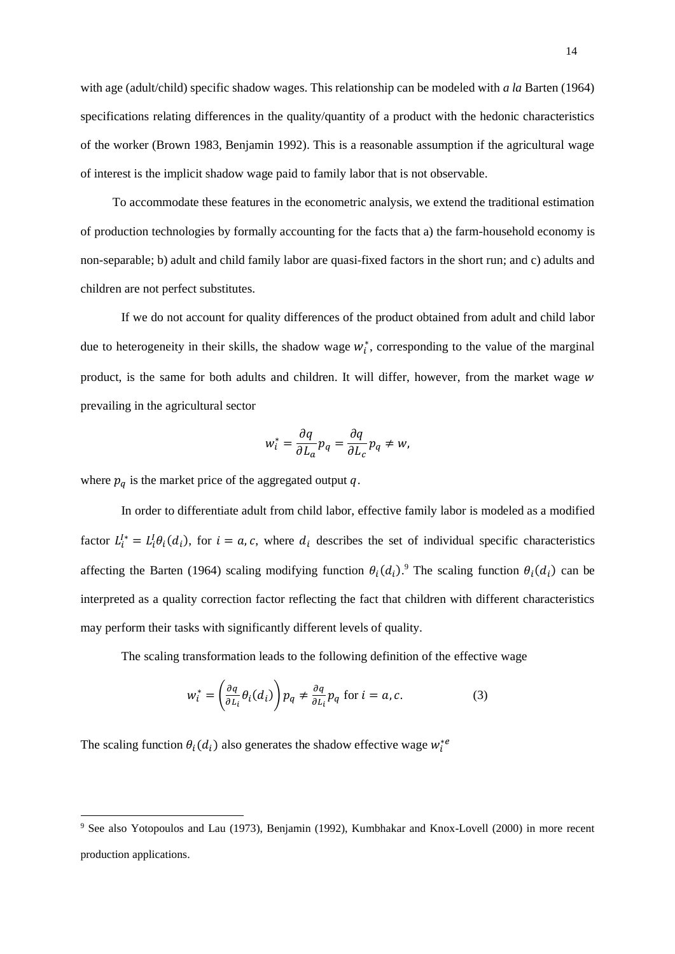with age (adult/child) specific shadow wages. This relationship can be modeled with *a la* Barten (1964) specifications relating differences in the quality/quantity of a product with the hedonic characteristics of the worker (Brown 1983, Benjamin 1992). This is a reasonable assumption if the agricultural wage of interest is the implicit shadow wage paid to family labor that is not observable.

To accommodate these features in the econometric analysis, we extend the traditional estimation of production technologies by formally accounting for the facts that a) the farm-household economy is non-separable; b) adult and child family labor are quasi-fixed factors in the short run; and c) adults and children are not perfect substitutes.

If we do not account for quality differences of the product obtained from adult and child labor due to heterogeneity in their skills, the shadow wage  $w_i^*$ , corresponding to the value of the marginal product, is the same for both adults and children. It will differ, however, from the market wage w prevailing in the agricultural sector

$$
w_i^* = \frac{\partial q}{\partial L_a} p_q = \frac{\partial q}{\partial L_c} p_q \neq w,
$$

where  $p_q$  is the market price of the aggregated output  $q$ .

In order to differentiate adult from child labor, effective family labor is modeled as a modified factor  $L_i^{l*} = L_i^l \theta_i(d_i)$ , for  $i = a, c$ , where  $d_i$  describes the set of individual specific characteristics affecting the Barten (1964) scaling modifying function  $\theta_i(d_i)$ . The scaling function  $\theta_i(d_i)$  can be interpreted as a quality correction factor reflecting the fact that children with different characteristics may perform their tasks with significantly different levels of quality.

The scaling transformation leads to the following definition of the effective wage

$$
w_i^* = \left(\frac{\partial q}{\partial L_i} \theta_i(d_i)\right) p_q \neq \frac{\partial q}{\partial L_i} p_q \text{ for } i = a, c. \tag{3}
$$

The scaling function  $\theta_i(d_i)$  also generates the shadow effective wage  $w_i^{*e}$ 

<sup>9</sup> See also Yotopoulos and Lau (1973), Benjamin (1992), Kumbhakar and Knox-Lovell (2000) in more recent production applications.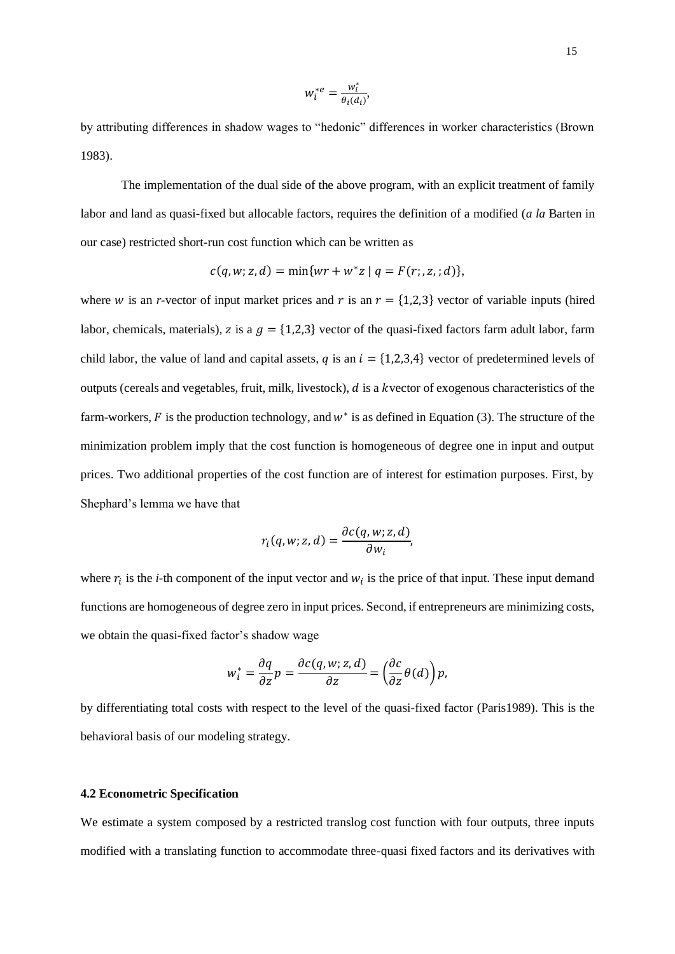$$
w_i^{*e} = \frac{w_i^*}{\theta_i(d_i)},
$$

by attributing differences in shadow wages to "hedonic" differences in worker characteristics (Brown 1983).

The implementation of the dual side of the above program, with an explicit treatment of family labor and land as quasi-fixed but allocable factors, requires the definition of a modified (*a la* Barten in our case) restricted short-run cost function which can be written as

$$
c(q, w; z, d) = \min\{wr + w^*z \mid q = F(r; z, d)\},\
$$

where *w* is an *r*-vector of input market prices and  $r$  is an  $r = \{1,2,3\}$  vector of variable inputs (hired labor, chemicals, materials), z is a  $g = \{1,2,3\}$  vector of the quasi-fixed factors farm adult labor, farm child labor, the value of land and capital assets, q is an  $i = \{1,2,3,4\}$  vector of predetermined levels of outputs (cereals and vegetables, fruit, milk, livestock),  $d$  is a kvector of exogenous characteristics of the farm-workers,  $F$  is the production technology, and  $w^*$  is as defined in Equation (3). The structure of the minimization problem imply that the cost function is homogeneous of degree one in input and output prices. Two additional properties of the cost function are of interest for estimation purposes. First, by Shephard's lemma we have that

$$
r_i(q, w; z, d) = \frac{\partial c(q, w; z, d)}{\partial w_i},
$$

where  $r_i$  is the *i*-th component of the input vector and  $w_i$  is the price of that input. These input demand functions are homogeneous of degree zero in input prices. Second, if entrepreneurs are minimizing costs, we obtain the quasi-fixed factor's shadow wage

$$
w_i^* = \frac{\partial q}{\partial z} p = \frac{\partial c(q, w; z, d)}{\partial z} = \left(\frac{\partial c}{\partial z} \theta(d)\right) p,
$$

by differentiating total costs with respect to the level of the quasi-fixed factor (Paris1989). This is the behavioral basis of our modeling strategy.

#### **4.2 Econometric Specification**

We estimate a system composed by a restricted translog cost function with four outputs, three inputs modified with a translating function to accommodate three-quasi fixed factors and its derivatives with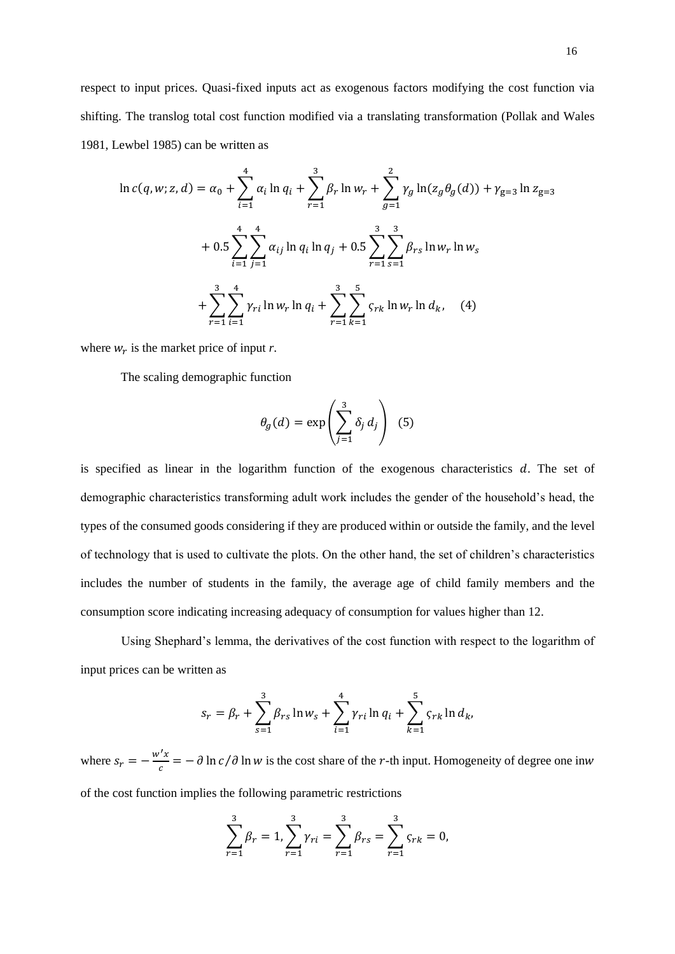respect to input prices. Quasi-fixed inputs act as exogenous factors modifying the cost function via shifting. The translog total cost function modified via a translating transformation (Pollak and Wales 1981, Lewbel 1985) can be written as

$$
\ln c(q, w; z, d) = \alpha_0 + \sum_{i=1}^{4} \alpha_i \ln q_i + \sum_{r=1}^{3} \beta_r \ln w_r + \sum_{g=1}^{2} \gamma_g \ln(z_g \theta_g(d)) + \gamma_{g=3} \ln z_{g=3}
$$
  
+  $0.5 \sum_{i=1}^{4} \sum_{j=1}^{4} \alpha_{ij} \ln q_i \ln q_j + 0.5 \sum_{r=1}^{3} \sum_{s=1}^{3} \beta_{rs} \ln w_r \ln w_s$   
+  $\sum_{r=1}^{3} \sum_{i=1}^{4} \gamma_{ri} \ln w_r \ln q_i + \sum_{r=1}^{3} \sum_{k=1}^{5} \varsigma_{rk} \ln w_r \ln d_k$ , (4)

where  $w_r$  is the market price of input *r*.

The scaling demographic function

$$
\theta_g(d) = \exp\left(\sum_{j=1}^3 \delta_j d_j\right) \tag{5}
$$

is specified as linear in the logarithm function of the exogenous characteristics  $d$ . The set of demographic characteristics transforming adult work includes the gender of the household's head, the types of the consumed goods considering if they are produced within or outside the family, and the level of technology that is used to cultivate the plots. On the other hand, the set of children's characteristics includes the number of students in the family, the average age of child family members and the consumption score indicating increasing adequacy of consumption for values higher than 12.

Using Shephard's lemma, the derivatives of the cost function with respect to the logarithm of input prices can be written as

$$
s_r = \beta_r + \sum_{s=1}^3 \beta_{rs} \ln w_s + \sum_{i=1}^4 \gamma_{ri} \ln q_i + \sum_{k=1}^5 \varsigma_{rk} \ln d_k,
$$

where  $s_r = -\frac{w'x}{c}$  $\frac{d^2 x}{dr^2} = -\frac{\partial \ln c}{\partial \ln w}$  is the cost share of the *r*-th input. Homogeneity of degree one inw of the cost function implies the following parametric restrictions

$$
\sum_{r=1}^{3} \beta_r = 1, \sum_{r=1}^{3} \gamma_{ri} = \sum_{r=1}^{3} \beta_{rs} = \sum_{r=1}^{3} \varsigma_{rk} = 0,
$$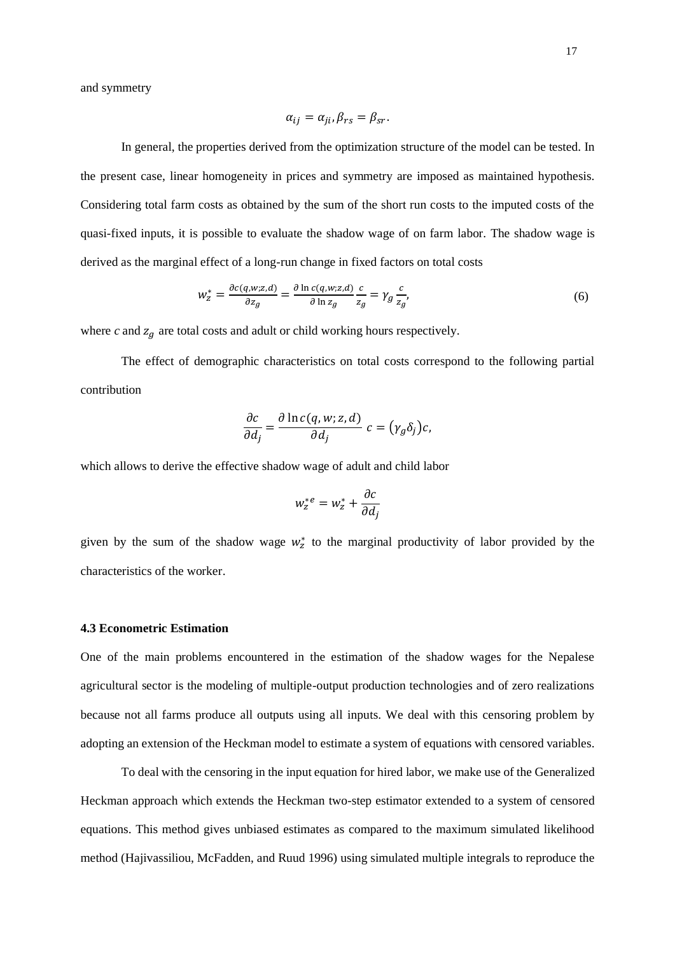and symmetry

$$
\alpha_{ij} = \alpha_{ji}, \beta_{rs} = \beta_{sr}.
$$

In general, the properties derived from the optimization structure of the model can be tested. In the present case, linear homogeneity in prices and symmetry are imposed as maintained hypothesis. Considering total farm costs as obtained by the sum of the short run costs to the imputed costs of the quasi-fixed inputs, it is possible to evaluate the shadow wage of on farm labor. The shadow wage is derived as the marginal effect of a long-run change in fixed factors on total costs

$$
w_z^* = \frac{\partial c(q, w; z, d)}{\partial z_g} = \frac{\partial \ln c(q, w; z, d)}{\partial \ln z_g} \frac{c}{z_g} = \gamma_g \frac{c}{z_g},\tag{6}
$$

where  $c$  and  $z_g$  are total costs and adult or child working hours respectively.

The effect of demographic characteristics on total costs correspond to the following partial contribution

$$
\frac{\partial c}{\partial d_j} = \frac{\partial \ln c(q, w; z, d)}{\partial d_j} c = (\gamma_g \delta_j) c,
$$

which allows to derive the effective shadow wage of adult and child labor

$$
w_z^{*e} = w_z^* + \frac{\partial c}{\partial d_j}
$$

given by the sum of the shadow wage  $w_z^*$  to the marginal productivity of labor provided by the characteristics of the worker.

#### **4.3 Econometric Estimation**

One of the main problems encountered in the estimation of the shadow wages for the Nepalese agricultural sector is the modeling of multiple-output production technologies and of zero realizations because not all farms produce all outputs using all inputs. We deal with this censoring problem by adopting an extension of the Heckman model to estimate a system of equations with censored variables.

To deal with the censoring in the input equation for hired labor, we make use of the Generalized Heckman approach which extends the Heckman two-step estimator extended to a system of censored equations. This method gives unbiased estimates as compared to the maximum simulated likelihood method (Hajivassiliou, McFadden, and Ruud 1996) using simulated multiple integrals to reproduce the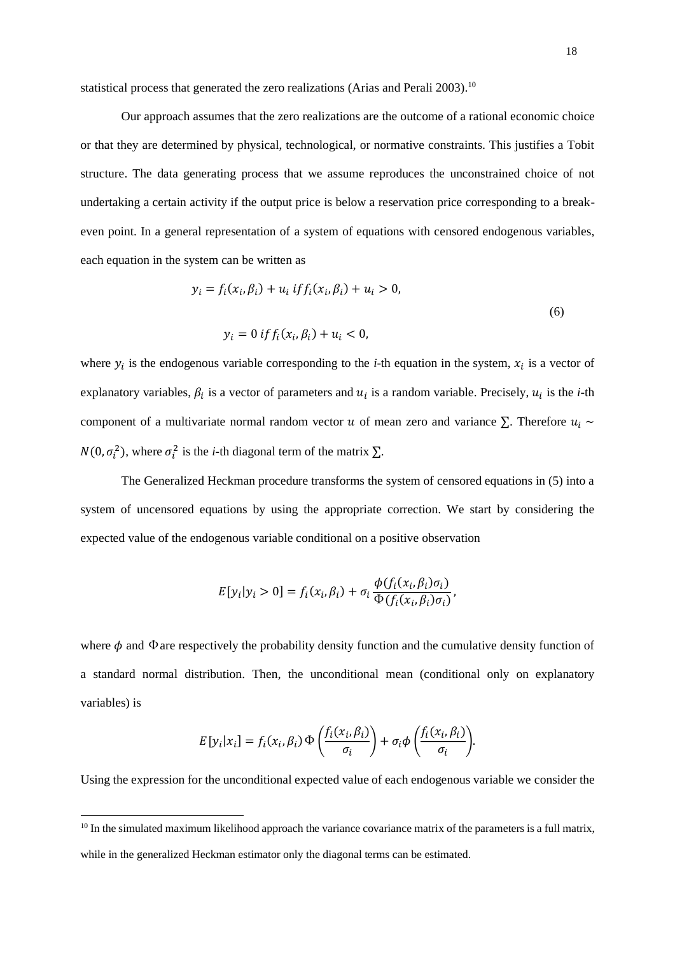statistical process that generated the zero realizations (Arias and Perali 2003).<sup>10</sup>

Our approach assumes that the zero realizations are the outcome of a rational economic choice or that they are determined by physical, technological, or normative constraints. This justifies a Tobit structure. The data generating process that we assume reproduces the unconstrained choice of not undertaking a certain activity if the output price is below a reservation price corresponding to a breakeven point. In a general representation of a system of equations with censored endogenous variables, each equation in the system can be written as

$$
y_i = f_i(x_i, \beta_i) + u_i \; if f_i(x_i, \beta_i) + u_i > 0,
$$
\n
$$
y_i = 0 \; if f_i(x_i, \beta_i) + u_i < 0,
$$
\n(6)

where  $y_i$  is the endogenous variable corresponding to the *i*-th equation in the system,  $x_i$  is a vector of explanatory variables,  $\beta_i$  is a vector of parameters and  $u_i$  is a random variable. Precisely,  $u_i$  is the *i*-th component of a multivariate normal random vector u of mean zero and variance  $\Sigma$ . Therefore  $u_i \sim$  $N(0, \sigma_i^2)$ , where  $\sigma_i^2$  is the *i*-th diagonal term of the matrix  $\Sigma$ .

The Generalized Heckman procedure transforms the system of censored equations in (5) into a system of uncensored equations by using the appropriate correction. We start by considering the expected value of the endogenous variable conditional on a positive observation

$$
E[y_i|y_i > 0] = f_i(x_i, \beta_i) + \sigma_i \frac{\phi(f_i(x_i, \beta_i)\sigma_i)}{\Phi(f_i(x_i, \beta_i)\sigma_i)},
$$

where  $\phi$  and  $\Phi$  are respectively the probability density function and the cumulative density function of a standard normal distribution. Then, the unconditional mean (conditional only on explanatory variables) is

$$
E[y_i|x_i] = f_i(x_i, \beta_i) \Phi\left(\frac{f_i(x_i, \beta_i)}{\sigma_i}\right) + \sigma_i \phi\left(\frac{f_i(x_i, \beta_i)}{\sigma_i}\right).
$$

Using the expression for the unconditional expected value of each endogenous variable we consider the

 $10$  In the simulated maximum likelihood approach the variance covariance matrix of the parameters is a full matrix, while in the generalized Heckman estimator only the diagonal terms can be estimated.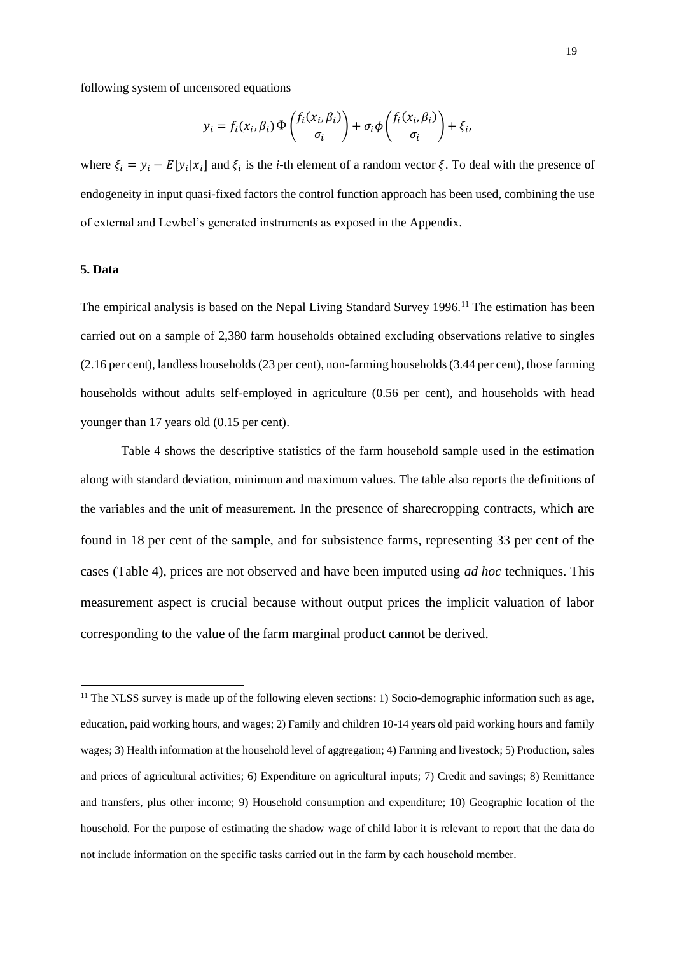following system of uncensored equations

$$
y_i = f_i(x_i, \beta_i) \Phi\left(\frac{f_i(x_i, \beta_i)}{\sigma_i}\right) + \sigma_i \phi\left(\frac{f_i(x_i, \beta_i)}{\sigma_i}\right) + \xi_i,
$$

where  $\xi_i = y_i - E[y_i|x_i]$  and  $\xi_i$  is the *i*-th element of a random vector  $\xi$ . To deal with the presence of endogeneity in input quasi-fixed factors the control function approach has been used, combining the use of external and Lewbel's generated instruments as exposed in the Appendix.

## **5. Data**

The empirical analysis is based on the Nepal Living Standard Survey 1996.<sup>11</sup> The estimation has been carried out on a sample of 2,380 farm households obtained excluding observations relative to singles (2.16 per cent), landless households (23 per cent), non-farming households (3.44 per cent), those farming households without adults self-employed in agriculture (0.56 per cent), and households with head younger than 17 years old (0.15 per cent).

Table 4 shows the descriptive statistics of the farm household sample used in the estimation along with standard deviation, minimum and maximum values. The table also reports the definitions of the variables and the unit of measurement. In the presence of sharecropping contracts, which are found in 18 per cent of the sample, and for subsistence farms, representing 33 per cent of the cases (Table 4), prices are not observed and have been imputed using *ad hoc* techniques. This measurement aspect is crucial because without output prices the implicit valuation of labor corresponding to the value of the farm marginal product cannot be derived.

<sup>&</sup>lt;sup>11</sup> The NLSS survey is made up of the following eleven sections: 1) Socio-demographic information such as age, education, paid working hours, and wages; 2) Family and children 10-14 years old paid working hours and family wages; 3) Health information at the household level of aggregation; 4) Farming and livestock; 5) Production, sales and prices of agricultural activities; 6) Expenditure on agricultural inputs; 7) Credit and savings; 8) Remittance and transfers, plus other income; 9) Household consumption and expenditure; 10) Geographic location of the household. For the purpose of estimating the shadow wage of child labor it is relevant to report that the data do not include information on the specific tasks carried out in the farm by each household member.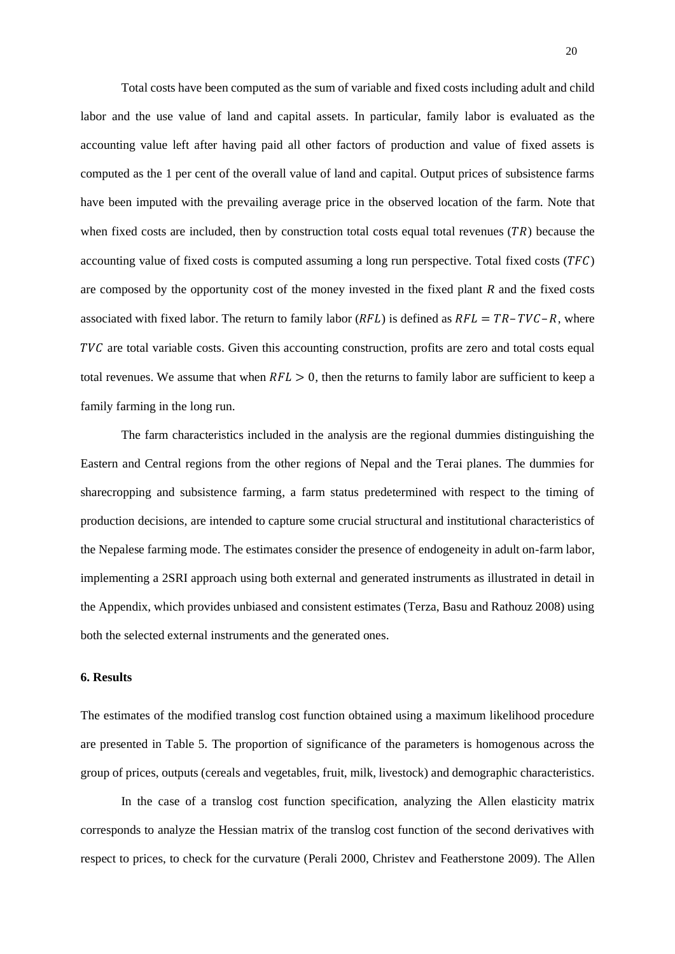Total costs have been computed as the sum of variable and fixed costs including adult and child labor and the use value of land and capital assets. In particular, family labor is evaluated as the accounting value left after having paid all other factors of production and value of fixed assets is computed as the 1 per cent of the overall value of land and capital. Output prices of subsistence farms have been imputed with the prevailing average price in the observed location of the farm. Note that when fixed costs are included, then by construction total costs equal total revenues  $(TR)$  because the accounting value of fixed costs is computed assuming a long run perspective. Total fixed costs  $(TFC)$ are composed by the opportunity cost of the money invested in the fixed plant *R* and the fixed costs associated with fixed labor. The return to family labor ( $RFL$ ) is defined as  $RFL = TR - TVC - R$ , where  $TVC$  are total variable costs. Given this accounting construction, profits are zero and total costs equal total revenues. We assume that when  $RFL > 0$ , then the returns to family labor are sufficient to keep a family farming in the long run.

The farm characteristics included in the analysis are the regional dummies distinguishing the Eastern and Central regions from the other regions of Nepal and the Terai planes. The dummies for sharecropping and subsistence farming, a farm status predetermined with respect to the timing of production decisions, are intended to capture some crucial structural and institutional characteristics of the Nepalese farming mode. The estimates consider the presence of endogeneity in adult on-farm labor, implementing a 2SRI approach using both external and generated instruments as illustrated in detail in the Appendix, which provides unbiased and consistent estimates (Terza, Basu and Rathouz 2008) using both the selected external instruments and the generated ones.

#### **6. Results**

The estimates of the modified translog cost function obtained using a maximum likelihood procedure are presented in Table 5. The proportion of significance of the parameters is homogenous across the group of prices, outputs (cereals and vegetables, fruit, milk, livestock) and demographic characteristics.

In the case of a translog cost function specification, analyzing the Allen elasticity matrix corresponds to analyze the Hessian matrix of the translog cost function of the second derivatives with respect to prices, to check for the curvature (Perali 2000, Christev and Featherstone 2009). The Allen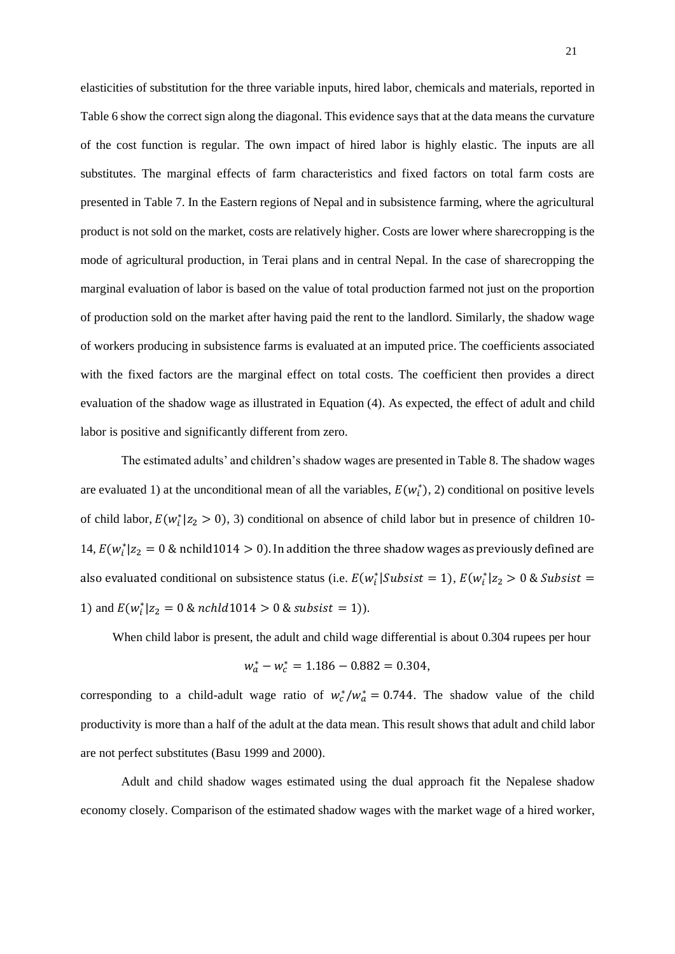elasticities of substitution for the three variable inputs, hired labor, chemicals and materials, reported in Table 6 show the correct sign along the diagonal. This evidence says that at the data means the curvature of the cost function is regular. The own impact of hired labor is highly elastic. The inputs are all substitutes. The marginal effects of farm characteristics and fixed factors on total farm costs are presented in Table 7. In the Eastern regions of Nepal and in subsistence farming, where the agricultural product is not sold on the market, costs are relatively higher. Costs are lower where sharecropping is the mode of agricultural production, in Terai plans and in central Nepal. In the case of sharecropping the marginal evaluation of labor is based on the value of total production farmed not just on the proportion of production sold on the market after having paid the rent to the landlord. Similarly, the shadow wage of workers producing in subsistence farms is evaluated at an imputed price. The coefficients associated with the fixed factors are the marginal effect on total costs. The coefficient then provides a direct evaluation of the shadow wage as illustrated in Equation (4). As expected, the effect of adult and child labor is positive and significantly different from zero.

The estimated adults' and children's shadow wages are presented in Table 8. The shadow wages are evaluated 1) at the unconditional mean of all the variables,  $E(w_i^*), 2$  conditional on positive levels of child labor,  $E(w_i^* | z_2 > 0)$ , 3) conditional on absence of child labor but in presence of children 10-14,  $E(w_i^* | z_2 = 0 \& \text{ nchild1014} > 0)$ . In addition the three shadow wages as previously defined are also evaluated conditional on subsistence status (i.e.  $E(w_i^* | Subsist = 1)$ ,  $E(w_i^* | z_2 > 0 \& Subsist = 1)$ 1) and  $E(w_i^*|z_2 = 0 \& \nuchl d1014 > 0 \& \nsubsist = 1)$ .

When child labor is present, the adult and child wage differential is about 0.304 rupees per hour

$$
w_a^* - w_c^* = 1.186 - 0.882 = 0.304,
$$

corresponding to a child-adult wage ratio of  $w_c^*/w_a^* = 0.744$ . The shadow value of the child productivity is more than a half of the adult at the data mean. This result shows that adult and child labor are not perfect substitutes (Basu 1999 and 2000).

Adult and child shadow wages estimated using the dual approach fit the Nepalese shadow economy closely. Comparison of the estimated shadow wages with the market wage of a hired worker,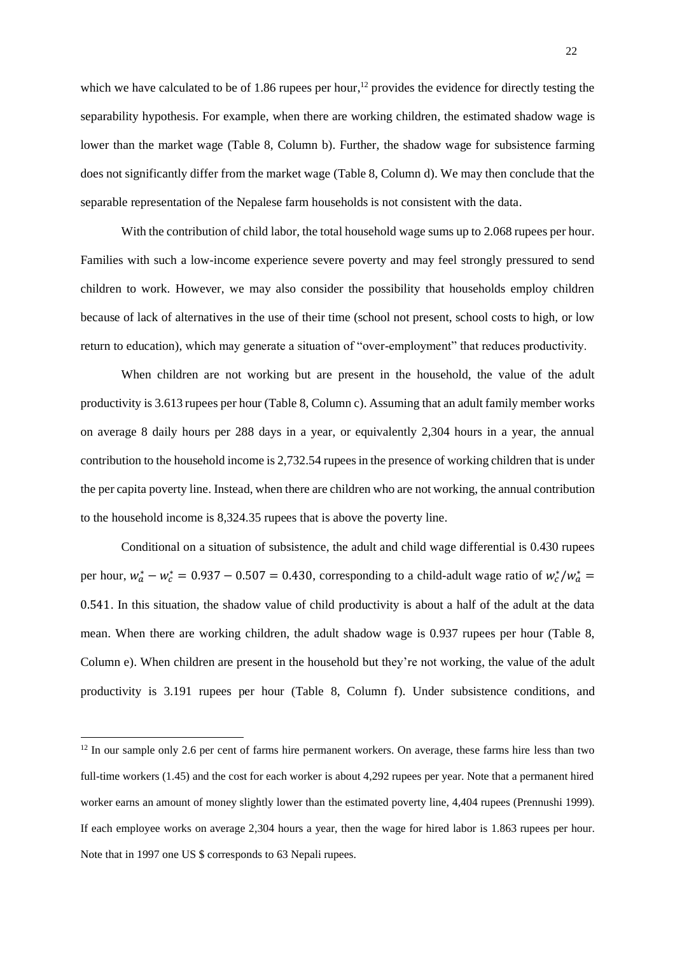which we have calculated to be of 1.86 rupees per hour,<sup>12</sup> provides the evidence for directly testing the separability hypothesis. For example, when there are working children, the estimated shadow wage is lower than the market wage (Table 8, Column b). Further, the shadow wage for subsistence farming does not significantly differ from the market wage (Table 8, Column d). We may then conclude that the separable representation of the Nepalese farm households is not consistent with the data.

With the contribution of child labor, the total household wage sums up to 2.068 rupees per hour. Families with such a low-income experience severe poverty and may feel strongly pressured to send children to work. However, we may also consider the possibility that households employ children because of lack of alternatives in the use of their time (school not present, school costs to high, or low return to education), which may generate a situation of "over-employment" that reduces productivity.

When children are not working but are present in the household, the value of the adult productivity is 3.613 rupees per hour (Table 8, Column c). Assuming that an adult family member works on average 8 daily hours per 288 days in a year, or equivalently 2,304 hours in a year, the annual contribution to the household income is 2,732.54 rupees in the presence of working children that is under the per capita poverty line. Instead, when there are children who are not working, the annual contribution to the household income is 8,324.35 rupees that is above the poverty line.

Conditional on a situation of subsistence, the adult and child wage differential is 0.430 rupees per hour,  $w_a^* - w_c^* = 0.937 - 0.507 = 0.430$ , corresponding to a child-adult wage ratio of  $w_c^*/w_a^* =$ 0.541. In this situation, the shadow value of child productivity is about a half of the adult at the data mean. When there are working children, the adult shadow wage is 0.937 rupees per hour (Table 8, Column e). When children are present in the household but they're not working, the value of the adult productivity is 3.191 rupees per hour (Table 8, Column f). Under subsistence conditions, and

<sup>&</sup>lt;sup>12</sup> In our sample only 2.6 per cent of farms hire permanent workers. On average, these farms hire less than two full-time workers (1.45) and the cost for each worker is about 4,292 rupees per year. Note that a permanent hired worker earns an amount of money slightly lower than the estimated poverty line, 4,404 rupees (Prennushi 1999). If each employee works on average 2,304 hours a year, then the wage for hired labor is 1.863 rupees per hour. Note that in 1997 one US \$ corresponds to 63 Nepali rupees.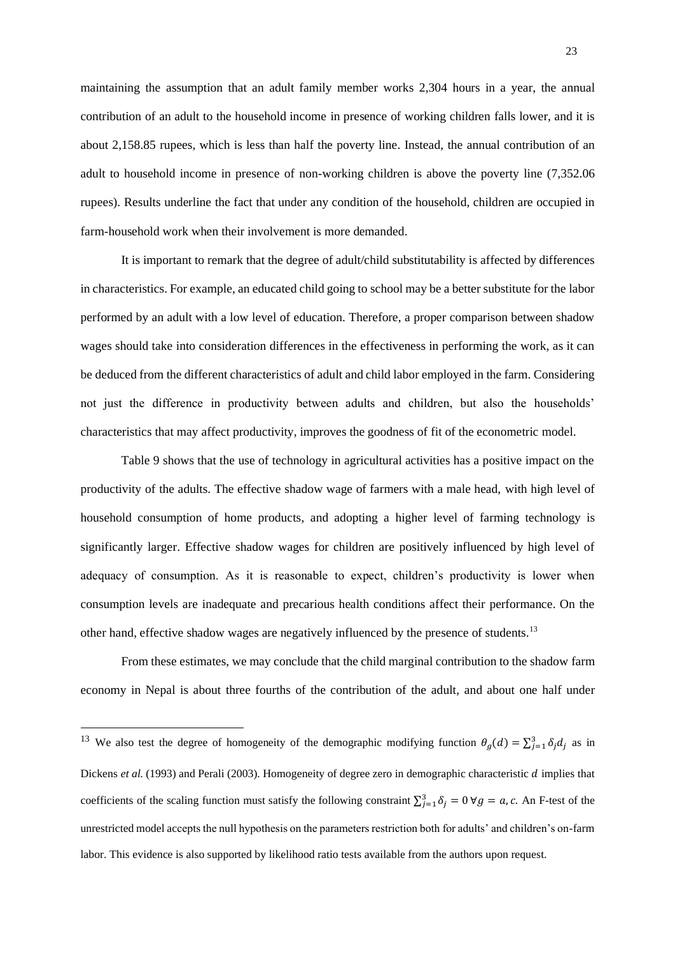maintaining the assumption that an adult family member works 2,304 hours in a year, the annual contribution of an adult to the household income in presence of working children falls lower, and it is about 2,158.85 rupees, which is less than half the poverty line. Instead, the annual contribution of an adult to household income in presence of non-working children is above the poverty line (7,352.06 rupees). Results underline the fact that under any condition of the household, children are occupied in farm-household work when their involvement is more demanded.

It is important to remark that the degree of adult/child substitutability is affected by differences in characteristics. For example, an educated child going to school may be a better substitute for the labor performed by an adult with a low level of education. Therefore, a proper comparison between shadow wages should take into consideration differences in the effectiveness in performing the work, as it can be deduced from the different characteristics of adult and child labor employed in the farm. Considering not just the difference in productivity between adults and children, but also the households' characteristics that may affect productivity, improves the goodness of fit of the econometric model.

Table 9 shows that the use of technology in agricultural activities has a positive impact on the productivity of the adults. The effective shadow wage of farmers with a male head, with high level of household consumption of home products, and adopting a higher level of farming technology is significantly larger. Effective shadow wages for children are positively influenced by high level of adequacy of consumption. As it is reasonable to expect, children's productivity is lower when consumption levels are inadequate and precarious health conditions affect their performance. On the other hand, effective shadow wages are negatively influenced by the presence of students.<sup>13</sup>

From these estimates, we may conclude that the child marginal contribution to the shadow farm economy in Nepal is about three fourths of the contribution of the adult, and about one half under

<sup>&</sup>lt;sup>13</sup> We also test the degree of homogeneity of the demographic modifying function  $\theta_g(d) = \sum_{j=1}^3 \delta_j d_j$  as in Dickens *et al.* (1993) and Perali (2003). Homogeneity of degree zero in demographic characteristic *d* implies that coefficients of the scaling function must satisfy the following constraint  $\sum_{j=1}^{3} \delta_j = 0 \ \forall g = a, c$ . An F-test of the unrestricted model accepts the null hypothesis on the parameters restriction both for adults' and children's on-farm labor. This evidence is also supported by likelihood ratio tests available from the authors upon request.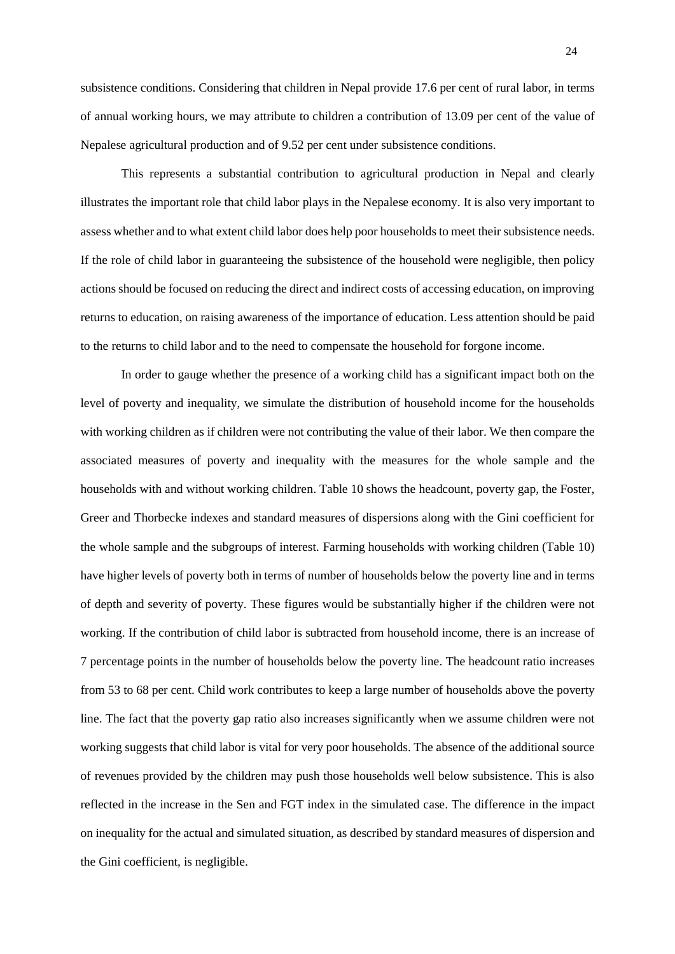subsistence conditions. Considering that children in Nepal provide 17.6 per cent of rural labor, in terms of annual working hours, we may attribute to children a contribution of 13.09 per cent of the value of Nepalese agricultural production and of 9.52 per cent under subsistence conditions.

This represents a substantial contribution to agricultural production in Nepal and clearly illustrates the important role that child labor plays in the Nepalese economy. It is also very important to assess whether and to what extent child labor does help poor households to meet their subsistence needs. If the role of child labor in guaranteeing the subsistence of the household were negligible, then policy actions should be focused on reducing the direct and indirect costs of accessing education, on improving returns to education, on raising awareness of the importance of education. Less attention should be paid to the returns to child labor and to the need to compensate the household for forgone income.

In order to gauge whether the presence of a working child has a significant impact both on the level of poverty and inequality, we simulate the distribution of household income for the households with working children as if children were not contributing the value of their labor. We then compare the associated measures of poverty and inequality with the measures for the whole sample and the households with and without working children. Table 10 shows the headcount, poverty gap, the Foster, Greer and Thorbecke indexes and standard measures of dispersions along with the Gini coefficient for the whole sample and the subgroups of interest. Farming households with working children (Table 10) have higher levels of poverty both in terms of number of households below the poverty line and in terms of depth and severity of poverty. These figures would be substantially higher if the children were not working. If the contribution of child labor is subtracted from household income, there is an increase of 7 percentage points in the number of households below the poverty line. The headcount ratio increases from 53 to 68 per cent. Child work contributes to keep a large number of households above the poverty line. The fact that the poverty gap ratio also increases significantly when we assume children were not working suggests that child labor is vital for very poor households. The absence of the additional source of revenues provided by the children may push those households well below subsistence. This is also reflected in the increase in the Sen and FGT index in the simulated case. The difference in the impact on inequality for the actual and simulated situation, as described by standard measures of dispersion and the Gini coefficient, is negligible.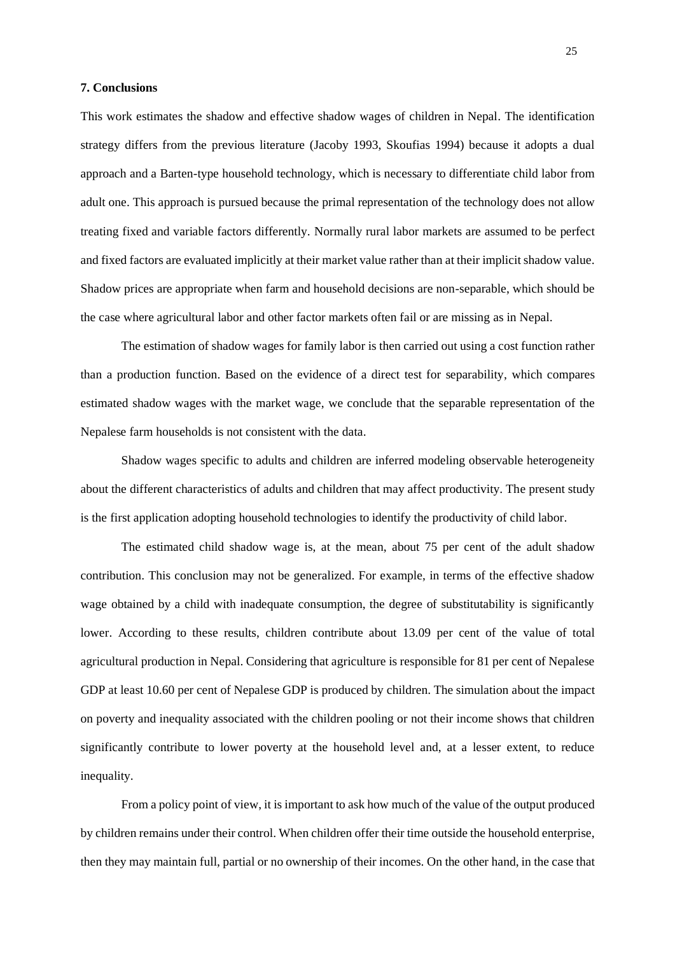## **7. Conclusions**

This work estimates the shadow and effective shadow wages of children in Nepal. The identification strategy differs from the previous literature (Jacoby 1993, Skoufias 1994) because it adopts a dual approach and a Barten-type household technology, which is necessary to differentiate child labor from adult one. This approach is pursued because the primal representation of the technology does not allow treating fixed and variable factors differently. Normally rural labor markets are assumed to be perfect and fixed factors are evaluated implicitly at their market value rather than at their implicit shadow value. Shadow prices are appropriate when farm and household decisions are non-separable, which should be the case where agricultural labor and other factor markets often fail or are missing as in Nepal.

The estimation of shadow wages for family labor is then carried out using a cost function rather than a production function. Based on the evidence of a direct test for separability, which compares estimated shadow wages with the market wage, we conclude that the separable representation of the Nepalese farm households is not consistent with the data.

Shadow wages specific to adults and children are inferred modeling observable heterogeneity about the different characteristics of adults and children that may affect productivity. The present study is the first application adopting household technologies to identify the productivity of child labor.

The estimated child shadow wage is, at the mean, about 75 per cent of the adult shadow contribution. This conclusion may not be generalized. For example, in terms of the effective shadow wage obtained by a child with inadequate consumption, the degree of substitutability is significantly lower. According to these results, children contribute about 13.09 per cent of the value of total agricultural production in Nepal. Considering that agriculture is responsible for 81 per cent of Nepalese GDP at least 10.60 per cent of Nepalese GDP is produced by children. The simulation about the impact on poverty and inequality associated with the children pooling or not their income shows that children significantly contribute to lower poverty at the household level and, at a lesser extent, to reduce inequality.

From a policy point of view, it is important to ask how much of the value of the output produced by children remains under their control. When children offer their time outside the household enterprise, then they may maintain full, partial or no ownership of their incomes. On the other hand, in the case that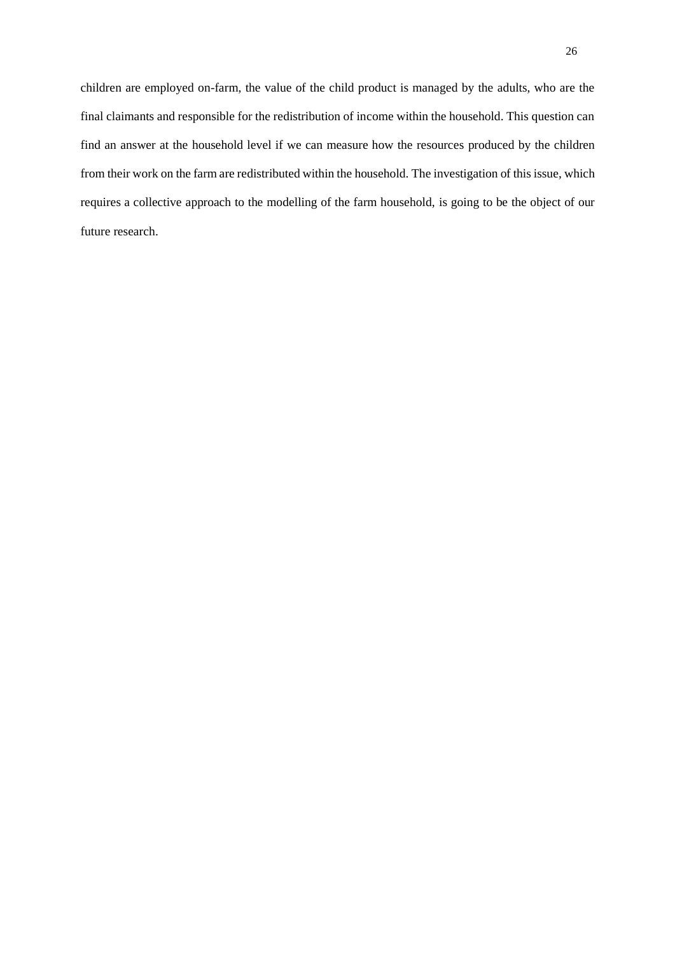children are employed on-farm, the value of the child product is managed by the adults, who are the final claimants and responsible for the redistribution of income within the household. This question can find an answer at the household level if we can measure how the resources produced by the children from their work on the farm are redistributed within the household. The investigation of this issue, which requires a collective approach to the modelling of the farm household, is going to be the object of our future research.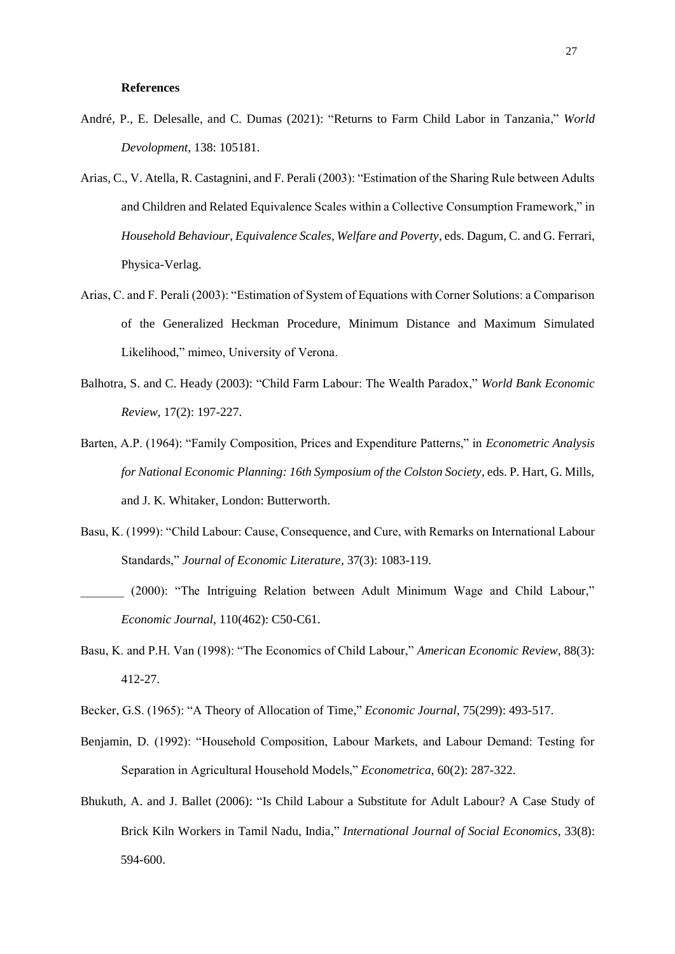#### **References**

- André, P., E. Delesalle, and C. Dumas (2021): "Returns to Farm Child Labor in Tanzania," *World Devolopment*, 138: 105181.
- Arias, C., V. Atella, R. Castagnini, and F. Perali (2003): "Estimation of the Sharing Rule between Adults and Children and Related Equivalence Scales within a Collective Consumption Framework," in *Household Behaviour, Equivalence Scales, Welfare and Poverty*, eds. Dagum, C. and G. Ferrari, Physica-Verlag.
- Arias, C. and F. Perali (2003): "Estimation of System of Equations with Corner Solutions: a Comparison of the Generalized Heckman Procedure, Minimum Distance and Maximum Simulated Likelihood," mimeo, University of Verona.
- Balhotra, S. and C. Heady (2003): "Child Farm Labour: The Wealth Paradox," *World Bank Economic Review*, 17(2): 197-227.
- Barten, A.P. (1964): "Family Composition, Prices and Expenditure Patterns," in *Econometric Analysis for National Economic Planning: 16th Symposium of the Colston Society*, eds. P. Hart, G. Mills, and J. K. Whitaker, London: Butterworth.
- Basu, K. (1999): "Child Labour: Cause, Consequence, and Cure, with Remarks on International Labour Standards," *Journal of Economic Literature*, 37(3): 1083-119.
- \_\_\_\_\_\_\_ (2000): "The Intriguing Relation between Adult Minimum Wage and Child Labour," *Economic Journal*, 110(462): C50-C61.
- Basu, K. and P.H. Van (1998): "The Economics of Child Labour," *American Economic Review*, 88(3): 412-27.
- Becker, G.S. (1965): "A Theory of Allocation of Time," *Economic Journal*, 75(299): 493-517.
- Benjamin, D. (1992): "Household Composition, Labour Markets, and Labour Demand: Testing for Separation in Agricultural Household Models," *Econometrica*, 60(2): 287-322.
- [Bhukuth](https://www.emeraldinsight.com/author/Bhukuth%2C+Augendra), A. and J. [Ballet](https://www.emeraldinsight.com/author/Ballet%2C+J%C3%A9r%C3%B4me) (2006): "Is Child Labour a Substitute for Adult Labour? A Case Study of Brick Kiln Workers in Tamil Nadu, India," *International Journal of Social Economics*, 33(8): 594-600.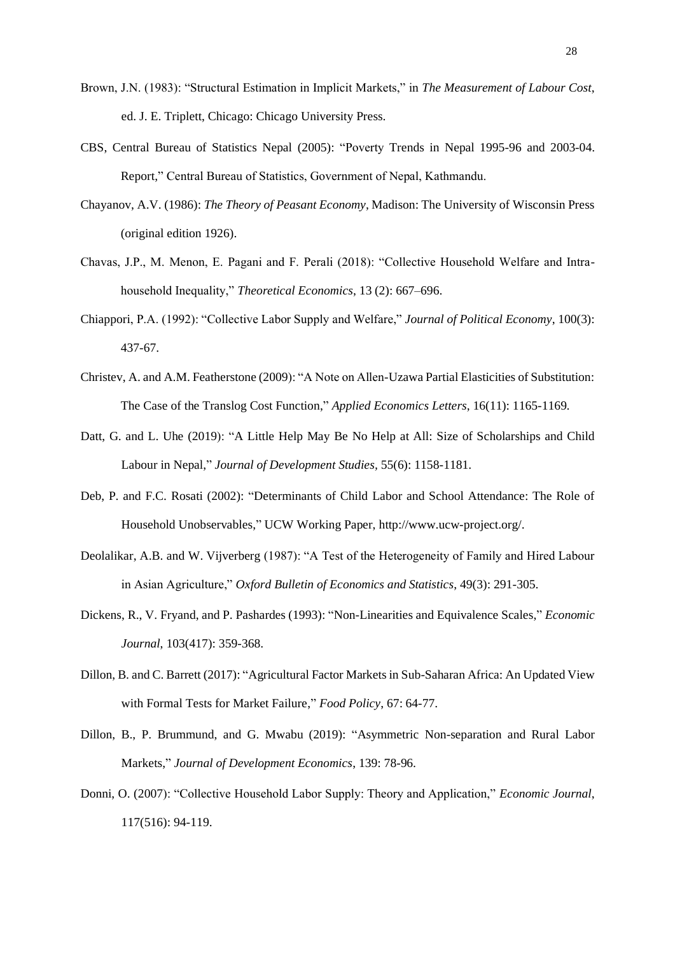- Brown, J.N. (1983): "Structural Estimation in Implicit Markets," in *The Measurement of Labour Cost*, ed. J. E. Triplett, Chicago: Chicago University Press.
- CBS, Central Bureau of Statistics Nepal (2005): "Poverty Trends in Nepal 1995-96 and 2003-04. Report," Central Bureau of Statistics, Government of Nepal, Kathmandu.
- Chayanov, A.V. (1986): *The Theory of Peasant Economy*, Madison: The University of Wisconsin Press (original edition 1926).
- Chavas, J.P., M. Menon, E. Pagani and F. Perali (2018): "Collective Household Welfare and Intrahousehold Inequality," *Theoretical Economics*, 13 (2): 667–696.
- Chiappori, P.A. (1992): "Collective Labor Supply and Welfare," *Journal of Political Economy*, 100(3): 437-67.
- Christev, A. and A.M. Featherstone (2009): "A Note on Allen-Uzawa Partial Elasticities of Substitution: The Case of the Translog Cost Function," *Applied Economics Letters*, 16(11): 1165-1169*.*
- Datt, G. and L. Uhe (2019): "A Little Help May Be No Help at All: Size of Scholarships and Child Labour in Nepal," *Journal of Development Studies,* 55(6): 1158-1181.
- Deb, P. and F.C. Rosati (2002): "Determinants of Child Labor and School Attendance: The Role of Household Unobservables," UCW Working Paper, [http://www.ucw-project.org/.](http://www.ucw-project.org/)
- Deolalikar, A.B. and W. Vijverberg (1987): "A Test of the Heterogeneity of Family and Hired Labour in Asian Agriculture," *Oxford Bulletin of Economics and Statistics*, 49(3): 291-305.
- Dickens, R., V. Fryand, and P. Pashardes (1993): "Non-Linearities and Equivalence Scales," *Economic Journal*, 103(417): 359-368.
- Dillon, B. and C. Barrett (2017): "Agricultural Factor Markets in Sub-Saharan Africa: An Updated View with Formal Tests for Market Failure," *Food Policy*, 67: 64-77.
- Dillon, B., P. Brummund, and G. Mwabu (2019): "Asymmetric Non-separation and Rural Labor Markets," *Journal of Development Economics*, 139: 78-96.
- Donni, O. (2007): "Collective Household Labor Supply: Theory and Application," *Economic Journal*, 117(516): 94-119.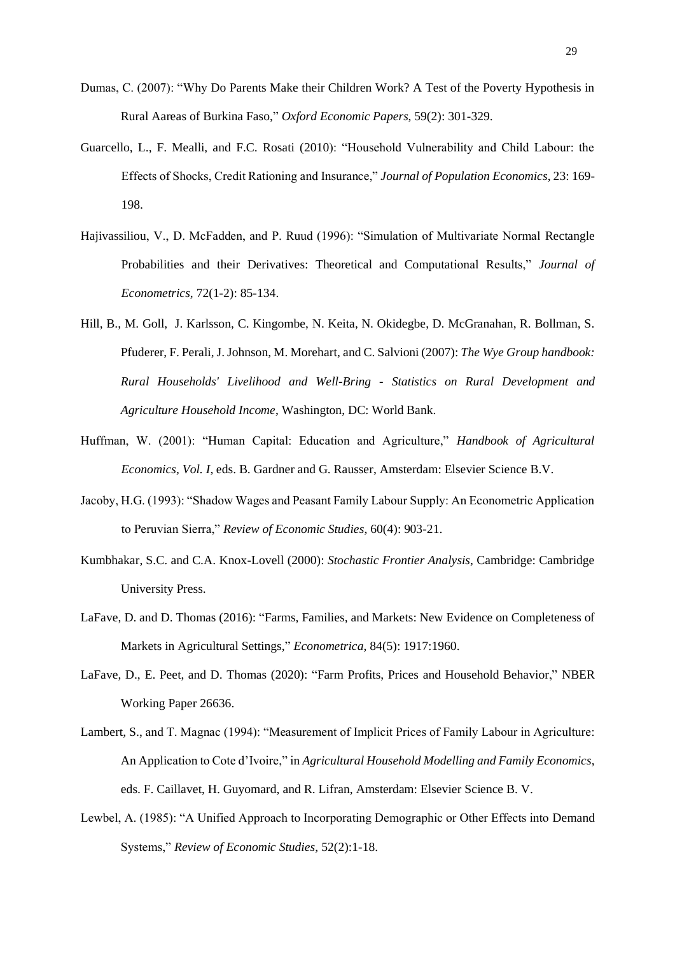- Dumas, C. (2007): "Why Do Parents Make their Children Work? A Test of the Poverty Hypothesis in Rural Aareas of Burkina Faso," *Oxford Economic Papers*, 59(2): 301-329.
- Guarcello, L., F. Mealli, and F.C. Rosati (2010): "Household Vulnerability and Child Labour: the Effects of Shocks, Credit Rationing and Insurance," *Journal of Population Economics*, 23: 169- 198.
- Hajivassiliou, V., D. McFadden, and P. Ruud (1996): "Simulation of Multivariate Normal Rectangle Probabilities and their Derivatives: Theoretical and Computational Results," *Journal of Econometrics*, 72(1-2): 85-134.
- Hill, B., M. Goll, J. Karlsson, C. Kingombe, N. Keita, N. Okidegbe, D. McGranahan, R. Bollman, S. Pfuderer, F. Perali, J. Johnson, M. Morehart, and C. Salvioni (2007): *The Wye Group handbook: Rural Households' Livelihood and Well-Bring - Statistics on Rural Development and Agriculture Household Income*, Washington, DC: World Bank.
- Huffman, W. (2001): "Human Capital: Education and Agriculture," *Handbook of Agricultural Economics, Vol. I*, eds. B. Gardner and G. Rausser, Amsterdam: Elsevier Science B.V.
- Jacoby, H.G. (1993): "Shadow Wages and Peasant Family Labour Supply: An Econometric Application to Peruvian Sierra," *Review of Economic Studies*, 60(4): 903-21.
- Kumbhakar, S.C. and C.A. Knox-Lovell (2000): *Stochastic Frontier Analysis*, Cambridge: Cambridge University Press.
- LaFave, D. and D. Thomas (2016): "Farms, Families, and Markets: New Evidence on Completeness of Markets in Agricultural Settings," *Econometrica*, 84(5): 1917:1960.
- LaFave, D., E. Peet, and D. Thomas (2020): "Farm Profits, Prices and Household Behavior," NBER Working Paper 26636.
- Lambert, S., and T. Magnac (1994): "Measurement of Implicit Prices of Family Labour in Agriculture: An Application to Cote d'Ivoire," in *Agricultural Household Modelling and Family Economics*, eds. F. Caillavet, H. Guyomard, and R. Lifran, Amsterdam: Elsevier Science B. V.
- Lewbel, A. (1985): "A Unified Approach to Incorporating Demographic or Other Effects into Demand Systems," *Review of Economic Studies*, 52(2):1-18.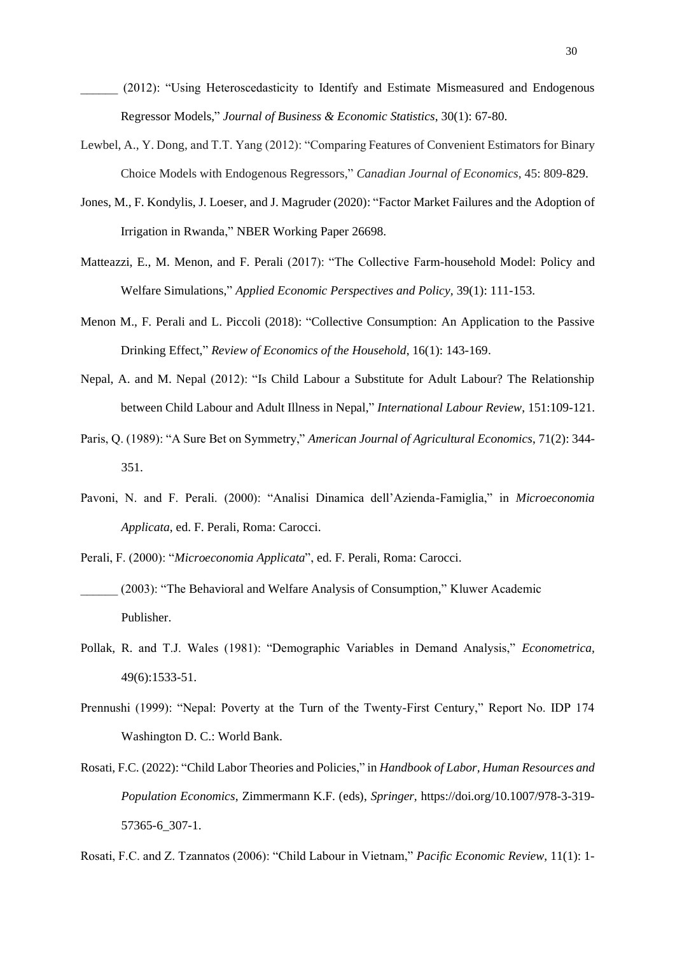(2012): "Using Heteroscedasticity to Identify and Estimate Mismeasured and Endogenous Regressor Models," *Journal of Business & Economic Statistics*, 30(1): 67-80.

- Lewbel, A., Y. Dong, and T.T. Yang (2012): "Comparing Features of Convenient Estimators for Binary Choice Models with Endogenous Regressors," *Canadian Journal of Economics*, 45: 809-829.
- Jones, M., F. Kondylis, J. Loeser, and J. Magruder (2020): "Factor Market Failures and the Adoption of Irrigation in Rwanda," NBER Working Paper 26698.
- Matteazzi, E., M. Menon, and F. Perali (2017): "The Collective Farm-household Model: Policy and Welfare Simulations," *Applied Economic Perspectives and Policy,* 39(1): 111-153.
- Menon M., F. Perali and L. Piccoli (2018): "Collective Consumption: An Application to the Passive Drinking Effect," *Review of Economics of the Household*, 16(1): 143-169.
- Nepal, A. and M. Nepal (2012): "Is Child Labour a Substitute for Adult Labour? The Relationship between Child Labour and Adult Illness in Nepal," *International Labour Review*, 151:109-121.
- Paris, Q. (1989): "A Sure Bet on Symmetry," *American Journal of Agricultural Economics*, 71(2): 344- 351.
- Pavoni, N. and F. Perali. (2000): "Analisi Dinamica dell'Azienda-Famiglia," in *Microeconomia Applicata*, ed. F. Perali, Roma: Carocci.
- Perali, F. (2000): "*Microeconomia Applicata*", ed. F. Perali, Roma: Carocci. (2003): "The Behavioral and Welfare Analysis of Consumption," Kluwer Academic
	- Publisher.
- Pollak, R. and T.J. Wales (1981): "Demographic Variables in Demand Analysis," *Econometrica,* 49(6):1533-51.
- Prennushi (1999): "Nepal: Poverty at the Turn of the Twenty-First Century," Report No. IDP 174 Washington D. C.: World Bank.
- Rosati, F.C. (2022): "Child Labor Theories and Policies," in *Handbook of Labor, Human Resources and Population Economics*, Zimmermann K.F. (eds), *Springer,* https://doi.org/10.1007/978-3-319- 57365-6\_307-1.

Rosati, F.C. and Z. Tzannatos (2006): "Child Labour in Vietnam," *Pacific Economic Review*, 11(1): 1-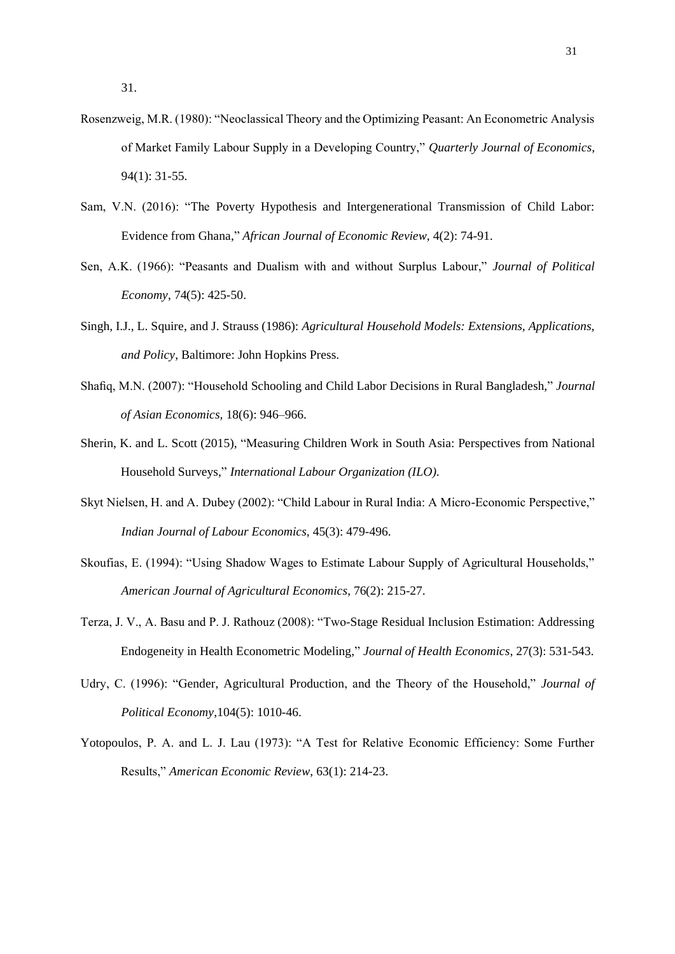- Rosenzweig, M.R. (1980): "Neoclassical Theory and the Optimizing Peasant: An Econometric Analysis of Market Family Labour Supply in a Developing Country," *Quarterly Journal of Economics*, 94(1): 31-55.
- Sam, V.N. (2016): "The Poverty Hypothesis and Intergenerational Transmission of Child Labor: Evidence from Ghana," *African Journal of Economic Review*, 4(2): 74-91.
- Sen, A.K. (1966): "Peasants and Dualism with and without Surplus Labour," *Journal of Political Economy*, 74(5): 425-50.
- Singh, I.J., L. Squire, and J. Strauss (1986): *Agricultural Household Models: Extensions, Applications, and Policy*, Baltimore: John Hopkins Press.
- Shafiq, M.N. (2007): "Household Schooling and Child Labor Decisions in Rural Bangladesh," *Journal of Asian Economics,* 18(6): 946–966.
- Sherin, K. and L. Scott (2015), "Measuring Children Work in South Asia: Perspectives from National Household Surveys," *International Labour Organization (ILO).*
- Skyt Nielsen, H. and A. Dubey (2002): "Child Labour in Rural India: A Micro-Economic Perspective," *Indian Journal of Labour Economics,* 45(3): 479-496.
- Skoufias, E. (1994): "Using Shadow Wages to Estimate Labour Supply of Agricultural Households," *American Journal of Agricultural Economics*, 76(2): 215-27.
- Terza, J. V., A. Basu and P. J. Rathouz (2008): "Two-Stage Residual Inclusion Estimation: Addressing Endogeneity in Health Econometric Modeling," *[Journal of Health Economics](https://www.sciencedirect.com/science/journal/01676296)*, [27\(3](https://www.sciencedirect.com/science/journal/01676296/27/3)): 531-543.
- Udry, C. (1996): "Gender, Agricultural Production, and the Theory of the Household," *Journal of Political Economy*,104(5): 1010-46.
- Yotopoulos, P. A. and L. J. Lau (1973): "A Test for Relative Economic Efficiency: Some Further Results," *American Economic Review*, 63(1): 214-23.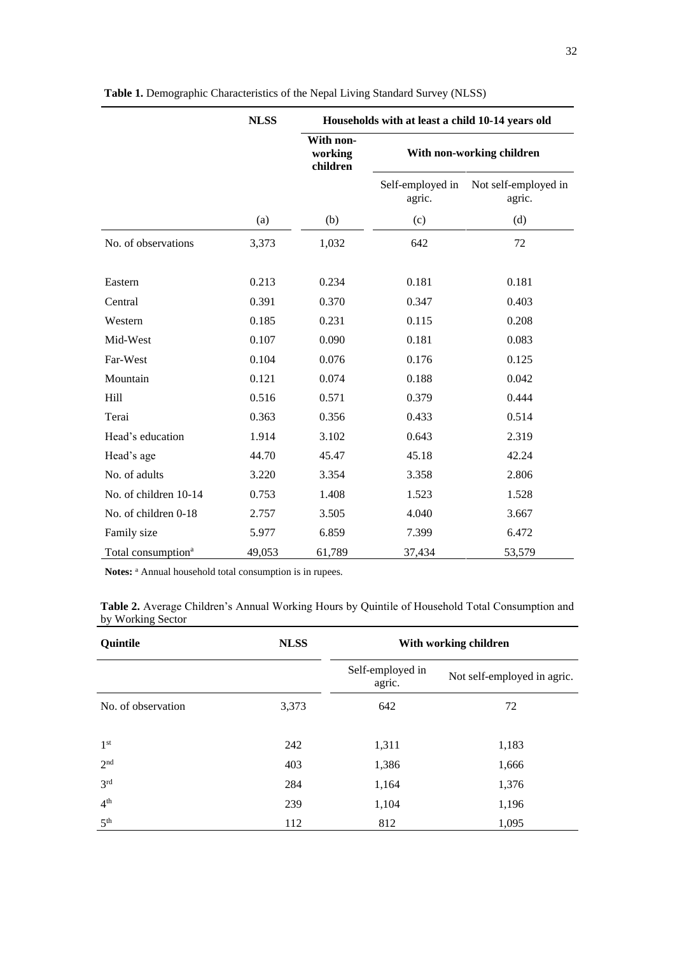|                                | <b>NLSS</b> | Households with at least a child 10-14 years old |                            |                                |  |  |
|--------------------------------|-------------|--------------------------------------------------|----------------------------|--------------------------------|--|--|
|                                |             | With non-<br>working<br>children                 |                            | With non-working children      |  |  |
|                                |             |                                                  | Self-employed in<br>agric. | Not self-employed in<br>agric. |  |  |
|                                | (a)         | (b)                                              | (c)                        | (d)                            |  |  |
| No. of observations            | 3,373       | 1,032                                            | 642                        | 72                             |  |  |
| Eastern                        | 0.213       | 0.234                                            | 0.181                      | 0.181                          |  |  |
| Central                        | 0.391       | 0.370                                            | 0.347                      | 0.403                          |  |  |
| Western                        | 0.185       | 0.231                                            | 0.115                      | 0.208                          |  |  |
| Mid-West                       | 0.107       | 0.090                                            | 0.181                      | 0.083                          |  |  |
| Far-West                       | 0.104       | 0.076                                            | 0.176                      | 0.125                          |  |  |
| Mountain                       | 0.121       | 0.074                                            | 0.188                      | 0.042                          |  |  |
| Hill                           | 0.516       | 0.571                                            | 0.379                      | 0.444                          |  |  |
| Terai                          | 0.363       | 0.356                                            | 0.433                      | 0.514                          |  |  |
| Head's education               | 1.914       | 3.102                                            | 0.643                      | 2.319                          |  |  |
| Head's age                     | 44.70       | 45.47                                            | 45.18                      | 42.24                          |  |  |
| No. of adults                  | 3.220       | 3.354                                            | 3.358                      | 2.806                          |  |  |
| No. of children 10-14          | 0.753       | 1.408                                            | 1.523                      | 1.528                          |  |  |
| No. of children 0-18           | 2.757       | 3.505                                            | 4.040                      | 3.667                          |  |  |
| Family size                    | 5.977       | 6.859                                            | 7.399                      | 6.472                          |  |  |
| Total consumption <sup>a</sup> | 49,053      | 61,789                                           | 37,434                     | 53,579                         |  |  |

**Table 1.** Demographic Characteristics of the Nepal Living Standard Survey (NLSS)

Notes: <sup>a</sup> Annual household total consumption is in rupees.

| Table 2. Average Children's Annual Working Hours by Quintile of Household Total Consumption and |  |  |
|-------------------------------------------------------------------------------------------------|--|--|
| by Working Sector                                                                               |  |  |

| Quintile           | <b>NLSS</b> | With working children      |                             |  |  |
|--------------------|-------------|----------------------------|-----------------------------|--|--|
|                    |             | Self-employed in<br>agric. | Not self-employed in agric. |  |  |
| No. of observation | 3,373       | 642                        | 72                          |  |  |
| 1 <sup>st</sup>    | 242         | 1,311                      | 1,183                       |  |  |
| 2 <sup>nd</sup>    | 403         | 1,386                      | 1,666                       |  |  |
| 3 <sup>rd</sup>    | 284         | 1,164                      | 1,376                       |  |  |
| 4 <sup>th</sup>    | 239         | 1,104                      | 1,196                       |  |  |
| 5 <sup>th</sup>    | 112         | 812                        | 1,095                       |  |  |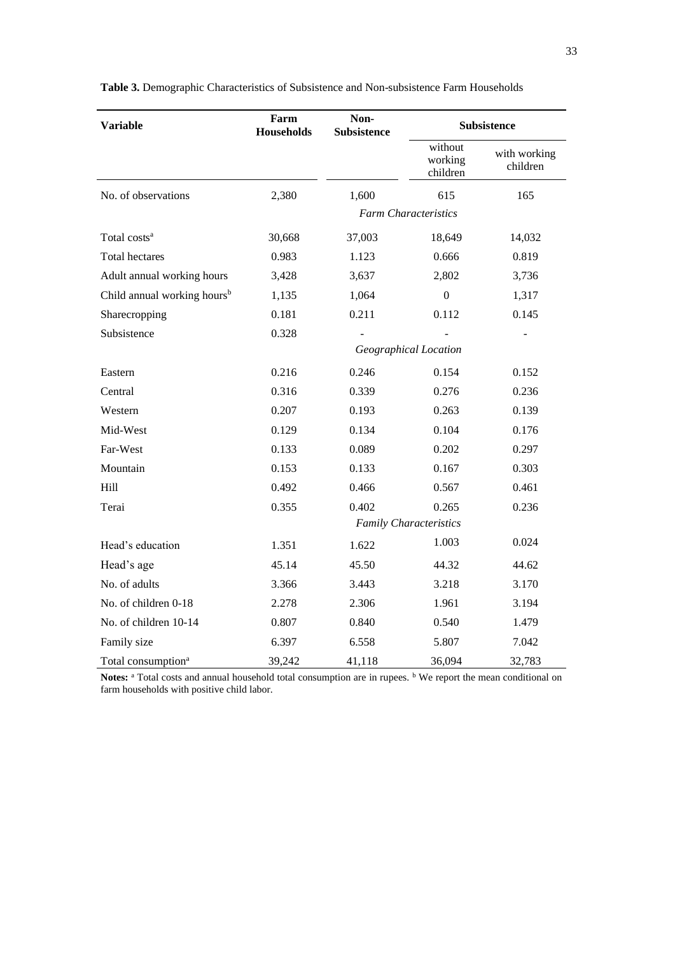| <b>Variable</b>                         | Farm<br><b>Households</b> | Non-<br><b>Subsistence</b> | <b>Subsistence</b>             |                          |  |  |
|-----------------------------------------|---------------------------|----------------------------|--------------------------------|--------------------------|--|--|
|                                         |                           |                            | without<br>working<br>children | with working<br>children |  |  |
| No. of observations                     | 2,380                     | 1,600                      | 615                            | 165                      |  |  |
|                                         |                           |                            | <b>Farm Characteristics</b>    |                          |  |  |
| Total costs <sup>a</sup>                | 30,668                    | 37,003                     | 18,649                         | 14,032                   |  |  |
| <b>Total hectares</b>                   | 0.983                     | 1.123                      | 0.666                          | 0.819                    |  |  |
| Adult annual working hours              | 3,428                     | 3,637                      | 2,802                          | 3,736                    |  |  |
| Child annual working hours <sup>b</sup> | 1,135                     | 1,064                      | $\mathbf{0}$                   | 1,317                    |  |  |
| Sharecropping                           | 0.181                     | 0.211                      | 0.112                          | 0.145                    |  |  |
| Subsistence                             | 0.328                     |                            |                                |                          |  |  |
|                                         |                           | Geographical Location      |                                |                          |  |  |
| Eastern                                 | 0.216                     | 0.246                      | 0.154                          | 0.152                    |  |  |
| Central                                 | 0.316                     | 0.339                      | 0.276                          | 0.236                    |  |  |
| Western                                 | 0.207                     | 0.193                      | 0.263                          | 0.139                    |  |  |
| Mid-West                                | 0.129                     | 0.134                      | 0.104                          | 0.176                    |  |  |
| Far-West                                | 0.133                     | 0.089                      | 0.202                          | 0.297                    |  |  |
| Mountain                                | 0.153                     | 0.133                      | 0.167                          | 0.303                    |  |  |
| Hill                                    | 0.492                     | 0.466                      | 0.567                          | 0.461                    |  |  |
| Terai                                   | 0.355                     | 0.402                      | 0.265                          | 0.236                    |  |  |
|                                         |                           |                            | <b>Family Characteristics</b>  |                          |  |  |
| Head's education                        | 1.351                     | 1.622                      | 1.003                          | 0.024                    |  |  |
| Head's age                              | 45.14                     | 45.50                      | 44.32                          | 44.62                    |  |  |
| No. of adults                           | 3.366                     | 3.443                      | 3.218                          | 3.170                    |  |  |
| No. of children 0-18                    | 2.278                     | 2.306                      | 1.961                          | 3.194                    |  |  |
| No. of children 10-14                   | 0.807                     | 0.840                      | 0.540                          | 1.479                    |  |  |
| Family size                             | 6.397                     | 6.558                      | 5.807                          | 7.042                    |  |  |
| Total consumption <sup>a</sup>          | 39,242                    | 41,118                     | 36,094                         | 32,783                   |  |  |

**Table 3.** Demographic Characteristics of Subsistence and Non-subsistence Farm Households

Notes: <sup>a</sup> Total costs and annual household total consumption are in rupees. <sup>b</sup> We report the mean conditional on farm households with positive child labor.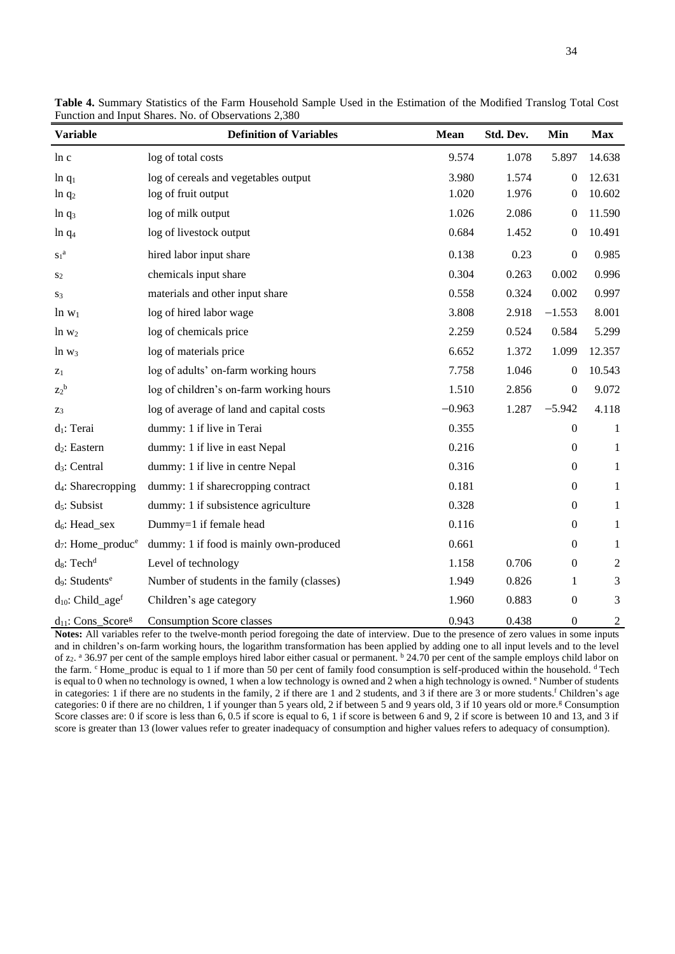| <b>Variable</b>                        | <b>Definition of Variables</b>             | <b>Mean</b> | Std. Dev. | Min              | <b>Max</b>     |
|----------------------------------------|--------------------------------------------|-------------|-----------|------------------|----------------|
| ln c                                   | log of total costs                         | 9.574       | 1.078     | 5.897            | 14.638         |
| $ln q_1$                               | log of cereals and vegetables output       | 3.980       | 1.574     | $\boldsymbol{0}$ | 12.631         |
| $ln q_2$                               | log of fruit output                        | 1.020       | 1.976     | $\boldsymbol{0}$ | 10.602         |
| $ln q_3$                               | log of milk output                         | 1.026       | 2.086     | $\boldsymbol{0}$ | 11.590         |
| $ln q_4$                               | log of livestock output                    | 0.684       | 1.452     | $\boldsymbol{0}$ | 10.491         |
| $S_1^a$                                | hired labor input share                    | 0.138       | 0.23      | $\boldsymbol{0}$ | 0.985          |
| S <sub>2</sub>                         | chemicals input share                      | 0.304       | 0.263     | 0.002            | 0.996          |
| S3                                     | materials and other input share            | 0.558       | 0.324     | 0.002            | 0.997          |
| $\ln w_1$                              | log of hired labor wage                    | 3.808       | 2.918     | $-1.553$         | 8.001          |
| $\ln w_2$                              | log of chemicals price                     | 2.259       | 0.524     | 0.584            | 5.299          |
| $\ln w_3$                              | log of materials price                     | 6.652       | 1.372     | 1.099            | 12.357         |
| $z_1$                                  | log of adults' on-farm working hours       | 7.758       | 1.046     | $\mathbf{0}$     | 10.543         |
| $Z_2^{\ b}$                            | log of children's on-farm working hours    | 1.510       | 2.856     | $\boldsymbol{0}$ | 9.072          |
| $Z_3$                                  | log of average of land and capital costs   | $-0.963$    | 1.287     | $-5.942$         | 4.118          |
| d <sub>1</sub> : Terai                 | dummy: 1 if live in Terai                  | 0.355       |           | $\overline{0}$   | 1              |
| d <sub>2</sub> : Eastern               | dummy: 1 if live in east Nepal             | 0.216       |           | $\boldsymbol{0}$ | 1              |
| $d_3$ : Central                        | dummy: 1 if live in centre Nepal           | 0.316       |           | $\boldsymbol{0}$ | 1              |
| $d_4$ : Sharecropping                  | dummy: 1 if sharecropping contract         | 0.181       |           | $\boldsymbol{0}$ | $\mathbf{1}$   |
| d <sub>5</sub> : Subsist               | dummy: 1 if subsistence agriculture        | 0.328       |           | $\boldsymbol{0}$ | $\mathbf{1}$   |
| $d_6$ : Head_sex                       | Dummy=1 if female head                     | 0.116       |           | $\boldsymbol{0}$ | $\mathbf{1}$   |
| $d_7$ : Home_produc <sup>e</sup>       | dummy: 1 if food is mainly own-produced    | 0.661       |           | $\boldsymbol{0}$ | 1              |
| $d_8$ : Tech <sup>d</sup>              | Level of technology                        | 1.158       | 0.706     | $\boldsymbol{0}$ | $\overline{c}$ |
| d <sub>9</sub> : Students <sup>e</sup> | Number of students in the family (classes) | 1.949       | 0.826     | 1                | 3              |
| $d_{10}$ : Child_age <sup>f</sup>      | Children's age category                    | 1.960       | 0.883     | $\boldsymbol{0}$ | 3              |
| $d_{11}$ : Cons_Score <sup>g</sup>     | <b>Consumption Score classes</b>           | 0.943       | 0.438     | $\boldsymbol{0}$ | $\overline{c}$ |

**Table 4.** Summary Statistics of the Farm Household Sample Used in the Estimation of the Modified Translog Total Cost Function and Input Shares. No. of Observations 2,380

**Notes:** All variables refer to the twelve-month period foregoing the date of interview. Due to the presence of zero values in some inputs and in children's on-farm working hours, the logarithm transformation has been applied by adding one to all input levels and to the level of z<sub>2</sub>. <sup>a</sup> 36.97 per cent of the sample employs hired labor either casual or permanent. <sup>b</sup> 24.70 per cent of the sample employs child labor on the farm. <sup>c</sup> Home\_produc is equal to 1 if more than 50 per cent of family food consumption is self-produced within the household. <sup>d</sup>Tech is equal to 0 when no technology is owned, 1 when a low technology is owned and 2 when a high technology is owned. <sup>e</sup> Number of students in categories: 1 if there are no students in the family, 2 if there are 1 and 2 students, and 3 if there are 3 or more students.<sup>f</sup> Children's age categories: 0 if there are no children, 1 if younger than 5 years old, 2 if between 5 and 9 years old, 3 if 10 years old or more.<sup>g</sup> Consumption Score classes are: 0 if score is less than 6, 0.5 if score is equal to 6, 1 if score is between 6 and 9, 2 if score is between 10 and 13, and 3 if score is greater than 13 (lower values refer to greater inadequacy of consumption and higher values refers to adequacy of consumption).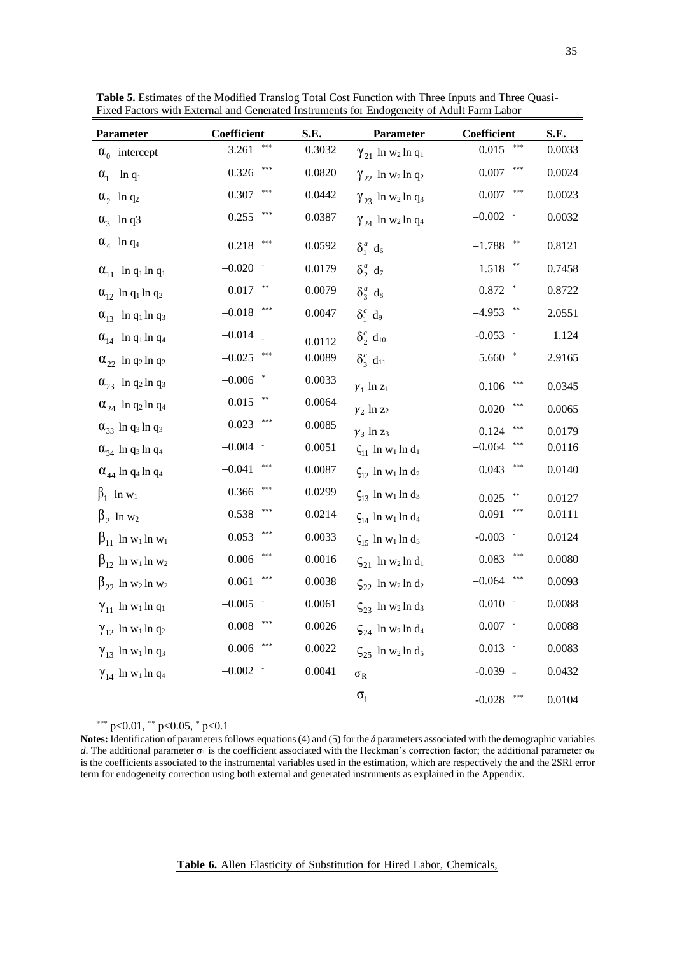| Parameter                                         | Coefficient      | S.E.   | Parameter                                         | Coefficient                | S.E.   |
|---------------------------------------------------|------------------|--------|---------------------------------------------------|----------------------------|--------|
| $\alpha_0$ intercept                              | ***<br>3.261     | 0.3032 | $\gamma_{21}$ ln w <sub>2</sub> ln q <sub>1</sub> | ***<br>0.015               | 0.0033 |
| $\alpha_{1}$<br>$ln q_1$                          | $***$<br>0.326   | 0.0820 | $\gamma_{22}$ ln w <sub>2</sub> ln q <sub>2</sub> | ***<br>0.007               | 0.0024 |
| $\alpha_2$ ln q <sub>2</sub>                      | ***<br>0.307     | 0.0442 | $\gamma_{23}$ ln w <sub>2</sub> ln q <sub>3</sub> | ***<br>0.007               | 0.0023 |
| $\alpha_3$ ln q3                                  | 0.255            | 0.0387 | $\gamma_{24}$ ln w <sub>2</sub> ln q <sub>4</sub> | $-0.002$                   | 0.0032 |
| $\alpha_4$ ln q <sub>4</sub>                      | ***<br>0.218     | 0.0592 | $\delta_1^a$ d <sub>6</sub>                       | $***$<br>$-1.788$          | 0.8121 |
| $\alpha_{11}$ ln q <sub>1</sub> ln q <sub>1</sub> | $-0.020$         | 0.0179 | $\delta_2^a$ d <sub>7</sub>                       | **<br>1.518                | 0.7458 |
| $\alpha_{12}$ ln q <sub>1</sub> ln q <sub>2</sub> | $-0.017$ **      | 0.0079 | $\delta_3^a$ d <sub>8</sub>                       | $0.872$ $\hspace{0.1cm}^*$ | 0.8722 |
| $\alpha_{13}$ ln q <sub>1</sub> ln q <sub>3</sub> | $-0.018$         | 0.0047 | $\delta_1^c$ d <sub>9</sub>                       | $-4.953$                   | 2.0551 |
| $\alpha_{14}$ ln q <sub>1</sub> ln q <sub>4</sub> | $-0.014$         | 0.0112 | $\delta_2^c$ d <sub>10</sub>                      | $-0.053$                   | 1.124  |
| $\alpha_{22}$ ln q <sub>2</sub> ln q <sub>2</sub> | ***<br>$-0.025$  | 0.0089 | $\delta_3^c$ d <sub>11</sub>                      | 5.660<br>$*$               | 2.9165 |
| $\alpha_{23}$ ln q <sub>2</sub> ln q <sub>3</sub> | $-0.006$ *       | 0.0033 | $\gamma_1$ ln $z_1$                               | $***$<br>$0.106\,$         | 0.0345 |
| $\alpha_{24}$ ln q <sub>2</sub> ln q <sub>4</sub> | $**$<br>$-0.015$ | 0.0064 | $\gamma_2$ ln $z_2$                               | ***<br>0.020               | 0.0065 |
| $\alpha_{33}$ ln q <sub>3</sub> ln q <sub>3</sub> | $-0.023$         | 0.0085 | $\gamma_3$ ln z <sub>3</sub>                      | 0.124                      | 0.0179 |
| $\alpha_{34}$ ln q <sub>3</sub> ln q <sub>4</sub> | $-0.004$ -       | 0.0051 | $\zeta_{11}$ ln w <sub>1</sub> ln d <sub>1</sub>  | ***<br>$-0.064$            | 0.0116 |
| $\alpha_{44}$ ln q <sub>4</sub> ln q <sub>4</sub> | ***<br>$-0.041$  | 0.0087 | $\zeta_{12}$ ln w <sub>1</sub> ln d <sub>2</sub>  | 0.043                      | 0.0140 |
| $\beta_1$ ln w <sub>1</sub>                       | $***$<br>0.366   | 0.0299 | $\zeta_{13}$ ln w <sub>1</sub> ln d <sub>3</sub>  | **<br>0.025                | 0.0127 |
| $\beta_2$ ln w <sub>2</sub>                       | ***<br>0.538     | 0.0214 | $\zeta_{14}$ ln w <sub>1</sub> ln d <sub>4</sub>  | ***<br>0.091               | 0.0111 |
| $\beta_{11}$ ln w <sub>1</sub> ln w <sub>1</sub>  | ***<br>0.053     | 0.0033 | $\zeta_{15}$ ln w <sub>1</sub> ln d <sub>5</sub>  | $-0.003$                   | 0.0124 |
| $\beta_{12}$ ln w <sub>1</sub> ln w <sub>2</sub>  | $***$<br>0.006   | 0.0016 | $\zeta_{21}$ ln w <sub>2</sub> ln d <sub>1</sub>  | ***<br>0.083               | 0.0080 |
| $\beta_{22}$ ln w <sub>2</sub> ln w <sub>2</sub>  | ***<br>0.061     | 0.0038 | $\zeta_{22}$ ln w <sub>2</sub> ln d <sub>2</sub>  | $-0.064$<br>***            | 0.0093 |
| $\gamma_{11}$ ln w <sub>1</sub> ln q <sub>1</sub> | $-0.005$         | 0.0061 | $\zeta_{23}$ ln w <sub>2</sub> ln d <sub>3</sub>  | 0.010                      | 0.0088 |
| $\gamma_{12}$ ln w <sub>1</sub> ln q <sub>2</sub> | ***<br>0.008     | 0.0026 | $\zeta_{24}$ ln w <sub>2</sub> ln d <sub>4</sub>  | $0.007 -$                  | 0.0088 |
| $\gamma_{13}$ ln w <sub>1</sub> ln q <sub>3</sub> | ***<br>0.006     | 0.0022 | $\zeta_{25}$ ln w <sub>2</sub> ln d <sub>5</sub>  | $-0.013$ $-$               | 0.0083 |
| $\gamma_{14}$ ln w <sub>1</sub> ln q <sub>4</sub> | $-0.002$ -       | 0.0041 | $\sigma_{\rm R}$                                  | $-0.039$ $-$               | 0.0432 |
|                                                   |                  |        | $\sigma_{1}$                                      | ***<br>$-0.028$            | 0.0104 |

**Table 5.** Estimates of the Modified Translog Total Cost Function with Three Inputs and Three Quasi-Fixed Factors with External and Generated Instruments for Endogeneity of Adult Farm Labor

\*\*\* p<0.01, \*\* p<0.05, \* p<0.1

**Notes:** Identification of parameters follows equations (4) and (5) for the *δ* parameters associated with the demographic variables *d*. The additional parameter σ<sub>1</sub> is the coefficient associated with the Heckman's correction factor; the additional parameter σR is the coefficients associated to the instrumental variables used in the estimation, which are respectively the and the 2SRI error term for endogeneity correction using both external and generated instruments as explained in the Appendix.

### **Table 6.** Allen Elasticity of Substitution for Hired Labor, Chemicals,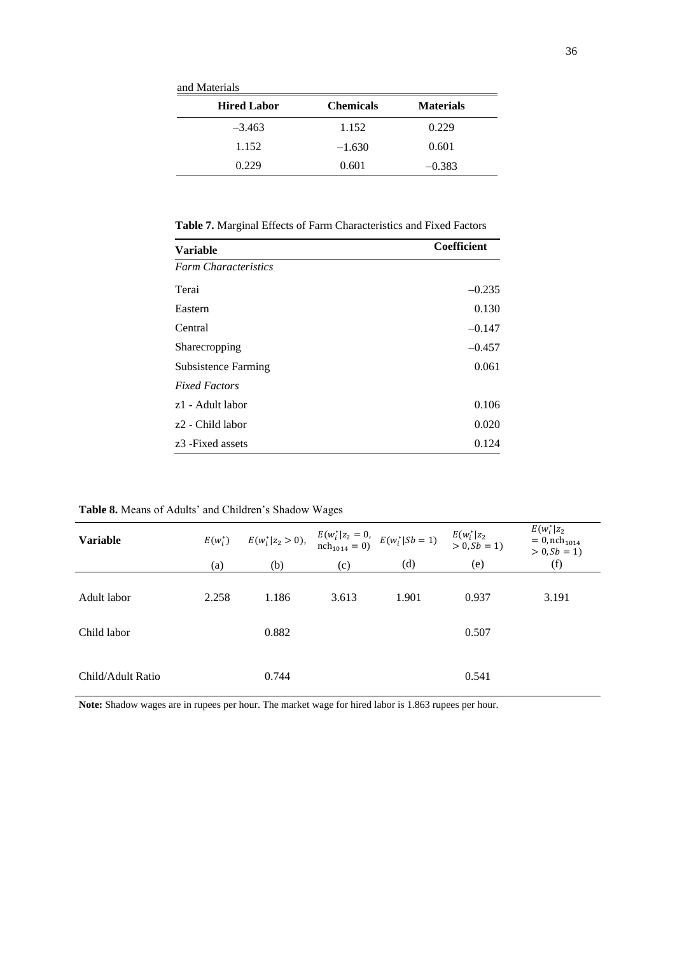and Materials

| <b>Hired Labor</b> | <b>Chemicals</b> | <b>Materials</b> |
|--------------------|------------------|------------------|
| $-3.463$           | 1.152            | 0.229            |
| 1.152              | $-1.630$         | 0.601            |
| 0.229              | 0.601            | $-0.383$         |

**Table 7.** Marginal Effects of Farm Characteristics and Fixed Factors

| <b>Variable</b>               | Coefficient |
|-------------------------------|-------------|
| <b>Farm Characteristics</b>   |             |
| Terai                         | $-0.235$    |
| Eastern                       | 0.130       |
| Central                       | $-0.147$    |
| Sharecropping                 | $-0.457$    |
| <b>Subsistence Farming</b>    | 0.061       |
| <b>Fixed Factors</b>          |             |
| z1 - Adult labor              | 0.106       |
| z <sub>2</sub> - Child labor  | 0.020       |
| z <sub>3</sub> - Fixed assets | 0.124       |

**Table 8.** Means of Adults' and Children's Shadow Wages

| $E(w_i^*)$ |       |              |       |       | $E(w_i^* z_2)$<br>$= 0$ , nch <sub>1014</sub><br>$> 0, Sb = 1)$                                                                                                |
|------------|-------|--------------|-------|-------|----------------------------------------------------------------------------------------------------------------------------------------------------------------|
|            |       |              |       |       | (f)                                                                                                                                                            |
| 2.258      | 1.186 | 3.613        | 1.901 | 0.937 | 3.191                                                                                                                                                          |
|            |       |              |       |       |                                                                                                                                                                |
|            |       |              |       |       |                                                                                                                                                                |
|            | 0.744 |              |       | 0.541 |                                                                                                                                                                |
|            | (a)   | (b)<br>0.882 | (c)   | (d)   | $E(w_i^*   z_2 > 0)$ , $E(w_i^*   z_2 = 0$ , $E(w_i^*   Sb = 1)$ $E(w_i^*   z_2$<br>nch <sub>1014</sub> = 0) $E(w_i^*   Sb = 1)$ $> 0, Sb = 1$<br>(e)<br>0.507 |

**Note:** Shadow wages are in rupees per hour. The market wage for hired labor is 1.863 rupees per hour.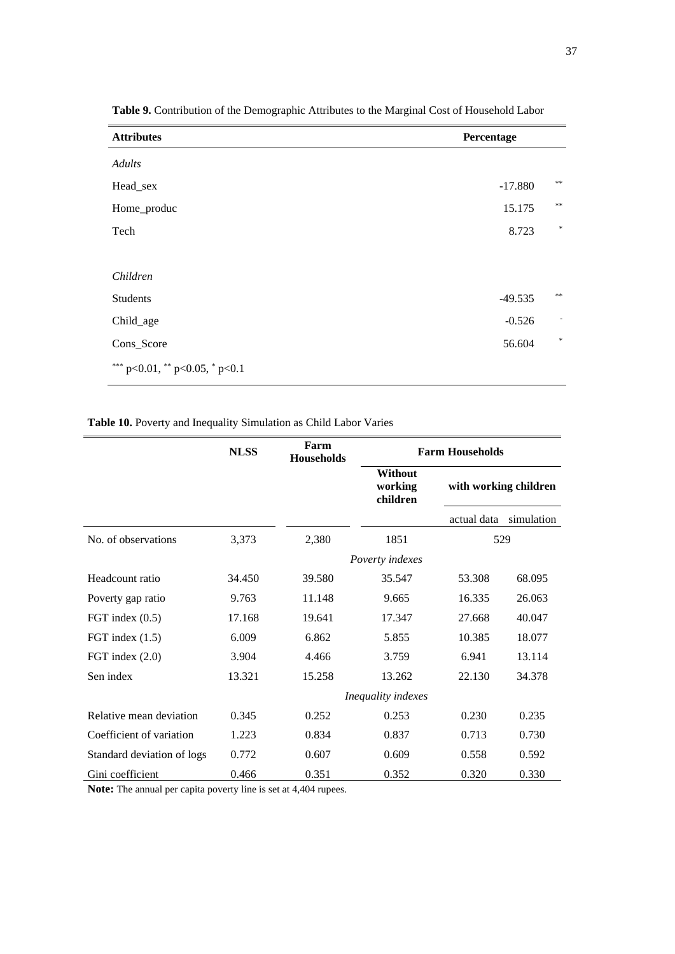| <b>Attributes</b>                      | Percentage |        |
|----------------------------------------|------------|--------|
| Adults                                 |            |        |
| Head_sex                               | $-17.880$  | **     |
| Home_produc                            | 15.175     | $**$   |
| Tech                                   | 8.723      | $\ast$ |
|                                        |            |        |
| Children                               |            |        |
| Students                               | $-49.535$  | $**$   |
| Child_age                              | $-0.526$   | ٠      |
| Cons_Score                             | 56.604     | $\ast$ |
| *** $p<0.01$ , ** $p<0.05$ , * $p<0.1$ |            |        |

**Table 9.** Contribution of the Demographic Attributes to the Marginal Cost of Household Labor

**Table 10.** Poverty and Inequality Simulation as Child Labor Varies

|                            | <b>NLSS</b> | Farm<br><b>Households</b> | <b>Farm Households</b>                |                       |            |  |
|----------------------------|-------------|---------------------------|---------------------------------------|-----------------------|------------|--|
|                            |             |                           | <b>Without</b><br>working<br>children | with working children |            |  |
|                            |             |                           |                                       | actual data           | simulation |  |
| No. of observations        | 3,373       | 2,380                     | 1851                                  | 529                   |            |  |
|                            |             |                           | Poverty indexes                       |                       |            |  |
| Headcount ratio            | 34.450      | 39.580                    | 35.547                                | 53.308                | 68.095     |  |
| Poverty gap ratio          | 9.763       | 11.148                    | 9.665                                 | 16.335                | 26.063     |  |
| FGT index $(0.5)$          | 17.168      | 19.641                    | 17.347                                | 27.668                | 40.047     |  |
| FGT index $(1.5)$          | 6.009       | 6.862                     | 5.855                                 | 10.385                | 18.077     |  |
| FGT index $(2.0)$          | 3.904       | 4.466                     | 3.759                                 | 6.941                 | 13.114     |  |
| Sen index                  | 13.321      | 15.258                    | 13.262                                | 22.130                | 34.378     |  |
|                            |             |                           | Inequality indexes                    |                       |            |  |
| Relative mean deviation    | 0.345       | 0.252                     | 0.253                                 | 0.230                 | 0.235      |  |
| Coefficient of variation   | 1.223       | 0.834                     | 0.837                                 | 0.713                 | 0.730      |  |
| Standard deviation of logs | 0.772       | 0.607                     | 0.609                                 | 0.558                 | 0.592      |  |
| Gini coefficient           | 0.466       | 0.351                     | 0.352                                 | 0.320                 | 0.330      |  |

**Note:** The annual per capita poverty line is set at 4,404 rupees.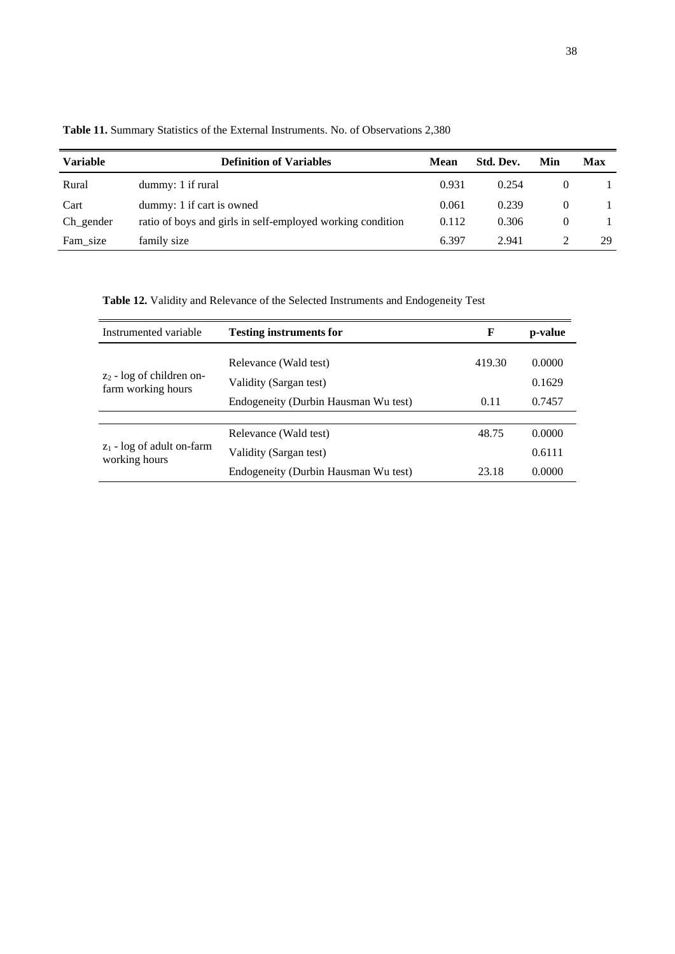| <b>Variable</b> | <b>Definition of Variables</b>                             | Mean  | Std. Dev. | Min      | Max |
|-----------------|------------------------------------------------------------|-------|-----------|----------|-----|
| Rural           | dummy: 1 if rural                                          | 0.931 | 0.254     | $\theta$ |     |
| Cart            | dummy: 1 if cart is owned                                  | 0.061 | 0.239     | 0        |     |
| Ch gender       | ratio of boys and girls in self-employed working condition | 0.112 | 0.306     | 0        |     |
| Fam size        | family size                                                | 6.397 | 2.941     |          | 29  |

**Table 11.** Summary Statistics of the External Instruments. No. of Observations 2,380

**Table 12.** Validity and Relevance of the Selected Instruments and Endogeneity Test

| Instrumented variable                             | <b>Testing instruments for</b>       | F      | p-value |
|---------------------------------------------------|--------------------------------------|--------|---------|
| $z_2$ - log of children on-<br>farm working hours | Relevance (Wald test)                | 419.30 | 0.0000  |
|                                                   | Validity (Sargan test)               |        | 0.1629  |
|                                                   | Endogeneity (Durbin Hausman Wu test) | 0.11   | 0.7457  |
|                                                   |                                      |        |         |
| $z_1$ - log of adult on-farm<br>working hours     | Relevance (Wald test)                | 48.75  | 0.0000  |
|                                                   | Validity (Sargan test)               |        | 0.6111  |
|                                                   | Endogeneity (Durbin Hausman Wu test) | 23.18  | 0.0000  |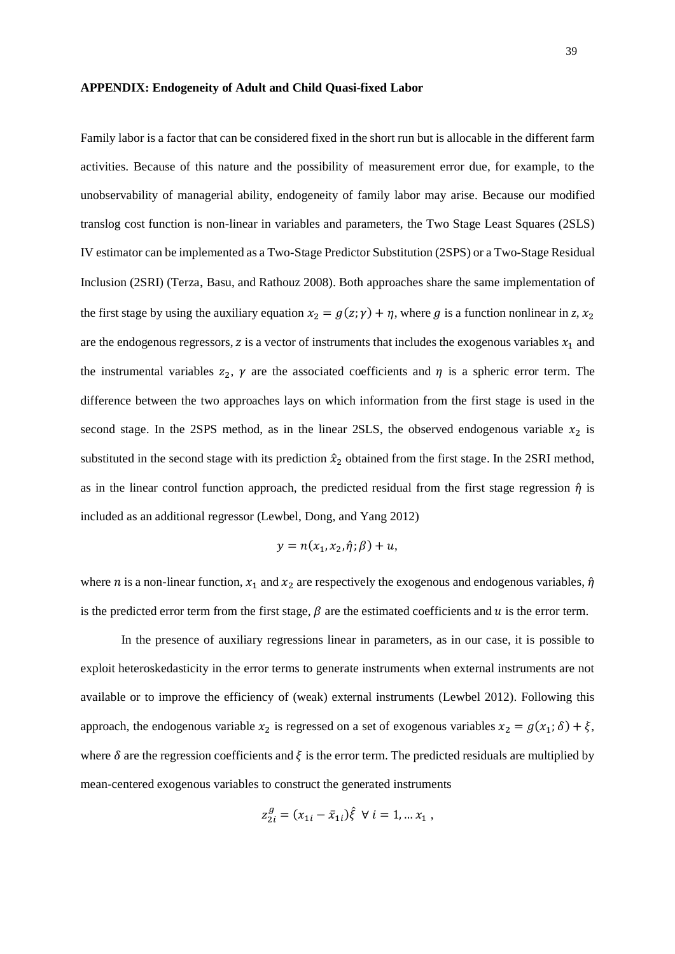#### **APPENDIX: Endogeneity of Adult and Child Quasi-fixed Labor**

Family labor is a factor that can be considered fixed in the short run but is allocable in the different farm activities. Because of this nature and the possibility of measurement error due, for example, to the unobservability of managerial ability, endogeneity of family labor may arise. Because our modified translog cost function is non-linear in variables and parameters, the Two Stage Least Squares (2SLS) IV estimator can be implemented as a Two-Stage Predictor Substitution (2SPS) or a Two-Stage Residual Inclusion (2SRI) (Terza, Basu, and Rathouz 2008). Both approaches share the same implementation of the first stage by using the auxiliary equation  $x_2 = g(z; \gamma) + \eta$ , where g is a function nonlinear in z,  $x_2$ are the endogenous regressors,  $z$  is a vector of instruments that includes the exogenous variables  $x_1$  and the instrumental variables  $z_2$ ,  $\gamma$  are the associated coefficients and  $\eta$  is a spheric error term. The difference between the two approaches lays on which information from the first stage is used in the second stage. In the 2SPS method, as in the linear 2SLS, the observed endogenous variable  $x_2$  is substituted in the second stage with its prediction  $\hat{x}_2$  obtained from the first stage. In the 2SRI method, as in the linear control function approach, the predicted residual from the first stage regression  $\hat{\eta}$  is included as an additional regressor (Lewbel, Dong, and Yang 2012)

$$
y = n(x_1, x_2, \hat{\eta}; \beta) + u,
$$

where *n* is a non-linear function,  $x_1$  and  $x_2$  are respectively the exogenous and endogenous variables,  $\hat{\eta}$ is the predicted error term from the first stage,  $\beta$  are the estimated coefficients and  $u$  is the error term.

In the presence of auxiliary regressions linear in parameters, as in our case, it is possible to exploit heteroskedasticity in the error terms to generate instruments when external instruments are not available or to improve the efficiency of (weak) external instruments (Lewbel 2012). Following this approach, the endogenous variable  $x_2$  is regressed on a set of exogenous variables  $x_2 = g(x_1; \delta) + \xi$ , where  $\delta$  are the regression coefficients and  $\xi$  is the error term. The predicted residuals are multiplied by mean-centered exogenous variables to construct the generated instruments

$$
z_{2i}^g = (x_{1i} - \bar{x}_{1i})\hat{\xi} \ \forall \; i = 1, \ldots x_1 \; ,
$$